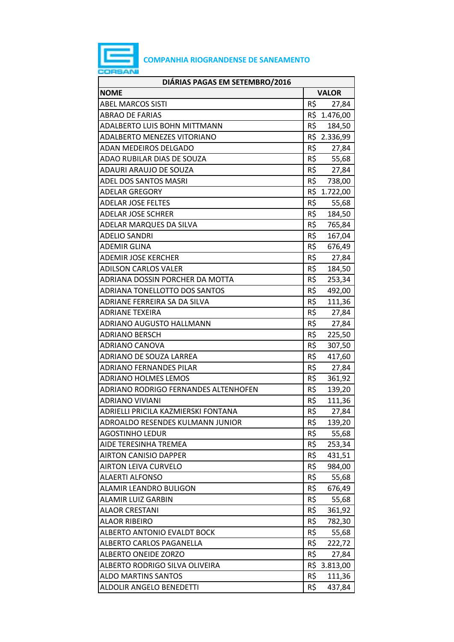

## **COMPANHIA RIOGRANDENSE DE SANEAMENTO**

| DIÁRIAS PAGAS EM SETEMBRO/2016       |                 |              |
|--------------------------------------|-----------------|--------------|
| <b>NOME</b>                          |                 | <b>VALOR</b> |
| <b>ABEL MARCOS SISTI</b>             | R\$             | 27,84        |
| <b>ABRAO DE FARIAS</b>               |                 | R\$ 1.476,00 |
| ADALBERTO LUIS BOHN MITTMANN         | R\$             | 184,50       |
| ADALBERTO MENEZES VITORIANO          |                 | R\$ 2.336,99 |
| ADAN MEDEIROS DELGADO                | R\$             | 27,84        |
| ADAO RUBILAR DIAS DE SOUZA           | R\$             | 55,68        |
| ADAURI ARAUJO DE SOUZA               | R\$             | 27,84        |
| ADEL DOS SANTOS MASRI                | R\$             | 738,00       |
| <b>ADELAR GREGORY</b>                |                 | R\$ 1.722,00 |
| <b>ADELAR JOSE FELTES</b>            | R\$             | 55,68        |
| <b>ADELAR JOSE SCHRER</b>            | R\$             | 184,50       |
| ADELAR MARQUES DA SILVA              | R\$             | 765,84       |
| <b>ADELIO SANDRI</b>                 | R\$             | 167,04       |
| <b>ADEMIR GLINA</b>                  | R\$             | 676,49       |
| <b>ADEMIR JOSE KERCHER</b>           | R\$             | 27,84        |
| <b>ADILSON CARLOS VALER</b>          | R\$             | 184,50       |
| ADRIANA DOSSIN PORCHER DA MOTTA      | $R\overline{S}$ | 253,34       |
| ADRIANA TONELLOTTO DOS SANTOS        | R\$             | 492,00       |
| ADRIANE FERREIRA SA DA SILVA         | R\$             | 111,36       |
| <b>ADRIANE TEXEIRA</b>               | R\$             | 27,84        |
| ADRIANO AUGUSTO HALLMANN             | R\$             | 27,84        |
| <b>ADRIANO BERSCH</b>                | R\$             | 225,50       |
| ADRIANO CANOVA                       | R\$             | 307,50       |
| ADRIANO DE SOUZA LARREA              | R\$             | 417,60       |
| <b>ADRIANO FERNANDES PILAR</b>       | R\$             | 27,84        |
| <b>ADRIANO HOLMES LEMOS</b>          | R\$             | 361,92       |
| ADRIANO RODRIGO FERNANDES ALTENHOFEN | R\$             | 139,20       |
| <b>ADRIANO VIVIANI</b>               | R\$             | 111,36       |
| ADRIELLI PRICILA KAZMIERSKI FONTANA  | R\$             | 27,84        |
| ADROALDO RESENDES KULMANN JUNIOR     | R\$             | 139,20       |
| <b>AGOSTINHO LEDUR</b>               | R\$             | 55,68        |
| AIDE TERESINHA TREMEA                | R\$             | 253,34       |
| <b>AIRTON CANISIO DAPPER</b>         | R\$             | 431,51       |
| <b>AIRTON LEIVA CURVELO</b>          | R\$             | 984,00       |
| <b>ALAERTI ALFONSO</b>               | R\$             | 55,68        |
| ALAMIR LEANDRO BULIGON               | R\$             | 676,49       |
| <b>ALAMIR LUIZ GARBIN</b>            | R\$             | 55,68        |
| <b>ALAOR CRESTANI</b>                | R\$             | 361,92       |
| <b>ALAOR RIBEIRO</b>                 | R\$             | 782,30       |
| ALBERTO ANTONIO EVALDT BOCK          | R\$             | 55,68        |
| ALBERTO CARLOS PAGANELLA             | R\$             | 222,72       |
| <b>ALBERTO ONEIDE ZORZO</b>          | R\$             | 27,84        |
| ALBERTO RODRIGO SILVA OLIVEIRA       | R\$             | 3.813,00     |
| <b>ALDO MARTINS SANTOS</b>           | R\$             | 111,36       |
| ALDOLIR ANGELO BENEDETTI             | R\$             | 437,84       |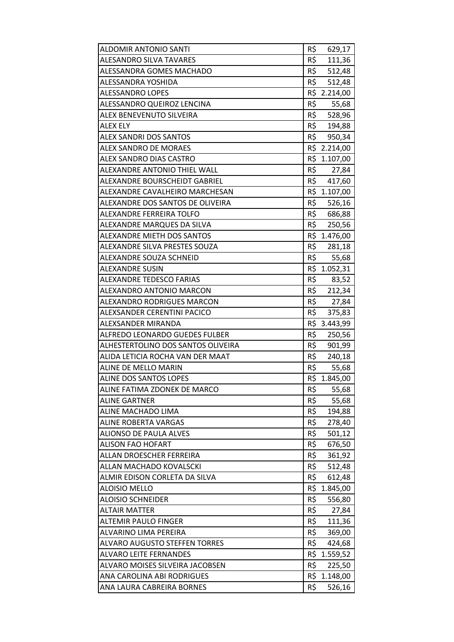| <b>ALDOMIR ANTONIO SANTI</b>         | R\$ | 629,17       |
|--------------------------------------|-----|--------------|
| <b>ALESANDRO SILVA TAVARES</b>       | R\$ | 111,36       |
| <b>ALESSANDRA GOMES MACHADO</b>      | R\$ | 512,48       |
| ALESSANDRA YOSHIDA                   | R\$ | 512,48       |
| <b>ALESSANDRO LOPES</b>              |     | R\$ 2.214,00 |
| ALESSANDRO QUEIROZ LENCINA           |     | R\$ 55,68    |
| ALEX BENEVENUTO SILVEIRA             |     | R\$ 528,96   |
| <b>ALEX ELY</b>                      | R\$ | 194,88       |
| <b>ALEX SANDRI DOS SANTOS</b>        | R\$ | 950,34       |
| <b>ALEX SANDRO DE MORAES</b>         |     | R\$ 2.214,00 |
| ALEX SANDRO DIAS CASTRO              |     | R\$ 1.107,00 |
| ALEXANDRE ANTONIO THIEL WALL         | R\$ | 27,84        |
| ALEXANDRE BOURSCHEIDT GABRIEL        | R\$ | 417,60       |
| ALEXANDRE CAVALHEIRO MARCHESAN       |     | R\$ 1.107,00 |
| ALEXANDRE DOS SANTOS DE OLIVEIRA     | R\$ | 526,16       |
| <b>ALEXANDRE FERREIRA TOLFO</b>      |     | R\$ 686,88   |
| ALEXANDRE MARQUES DA SILVA           |     | R\$ 250,56   |
| <b>ALEXANDRE MIETH DOS SANTOS</b>    |     | R\$ 1.476,00 |
| ALEXANDRE SILVA PRESTES SOUZA        | R\$ | 281,18       |
| ALEXANDRE SOUZA SCHNEID              | R\$ | 55,68        |
| ALEXANDRE SUSIN                      |     | R\$ 1.052,31 |
| <b>ALEXANDRE TEDESCO FARIAS</b>      | R\$ | 83,52        |
| ALEXANDRO ANTONIO MARCON             | R\$ | 212,34       |
| <b>ALEXANDRO RODRIGUES MARCON</b>    | R\$ | 27,84        |
| ALEXSANDER CERENTINI PACICO          | R\$ | 375,83       |
| ALEXSANDER MIRANDA                   |     | R\$ 3.443,99 |
| ALFREDO LEONARDO GUEDES FULBER       | R\$ | 250,56       |
| ALHESTERTOLINO DOS SANTOS OLIVEIRA   | R\$ | 901,99       |
| ALIDA LETICIA ROCHA VAN DER MAAT     | R\$ | 240,18       |
| ALINE DE MELLO MARIN                 | R\$ | 55,68        |
| ALINE DOS SANTOS LOPES               |     | R\$ 1.845,00 |
| ALINE FATIMA ZDONEK DE MARCO         | R\$ | 55,68        |
| <b>ALINE GARTNER</b>                 | R\$ | 55,68        |
| ALINE MACHADO LIMA                   | R\$ | 194,88       |
| <b>ALINE ROBERTA VARGAS</b>          | R\$ | 278,40       |
| <b>ALIONSO DE PAULA ALVES</b>        | R\$ | 501,12       |
| <b>ALISON FAO HOFART</b>             | R\$ | 676,50       |
| ALLAN DROESCHER FERREIRA             | R\$ | 361,92       |
| ALLAN MACHADO KOVALSCKI              | R\$ | 512,48       |
| ALMIR EDISON CORLETA DA SILVA        | R\$ | 612,48       |
| <b>ALOISIO MELLO</b>                 | R\$ | 1.845,00     |
| <b>ALOISIO SCHNEIDER</b>             | R\$ | 556,80       |
| <b>ALTAIR MATTER</b>                 | R\$ | 27,84        |
| <b>ALTEMIR PAULO FINGER</b>          | R\$ | 111,36       |
| ALVARINO LIMA PEREIRA                | R\$ | 369,00       |
| <b>ALVARO AUGUSTO STEFFEN TORRES</b> | R\$ | 424,68       |
| <b>ALVARO LEITE FERNANDES</b>        |     | R\$ 1.559,52 |
| ALVARO MOISES SILVEIRA JACOBSEN      | R\$ | 225,50       |
| ANA CAROLINA ABI RODRIGUES           |     | R\$ 1.148,00 |
| ANA LAURA CABREIRA BORNES            | R\$ | 526,16       |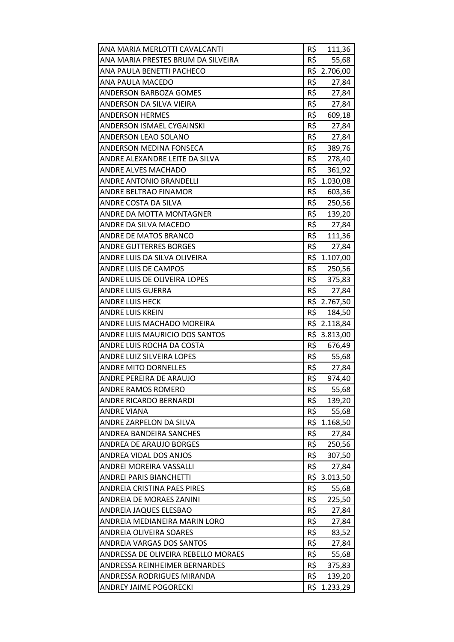| ANA MARIA MERLOTTI CAVALCANTI       | R\$ | 111,36       |
|-------------------------------------|-----|--------------|
| ANA MARIA PRESTES BRUM DA SILVEIRA  | R\$ | 55,68        |
| ANA PAULA BENETTI PACHECO           |     | R\$ 2.706,00 |
| ANA PAULA MACEDO                    | R\$ | 27,84        |
| <b>ANDERSON BARBOZA GOMES</b>       | R\$ | 27,84        |
| ANDERSON DA SILVA VIEIRA            | R\$ | 27,84        |
| <b>ANDERSON HERMES</b>              | R\$ | 609,18       |
| <b>ANDERSON ISMAEL CYGAINSKI</b>    | R\$ | 27,84        |
| ANDERSON LEAO SOLANO                | R\$ | 27,84        |
| ANDERSON MEDINA FONSECA             | R\$ | 389,76       |
| ANDRE ALEXANDRE LEITE DA SILVA      |     | R\$ 278,40   |
| ANDRE ALVES MACHADO                 | R\$ | 361,92       |
| ANDRE ANTONIO BRANDELLI             |     | R\$ 1.030,08 |
| ANDRE BELTRAO FINAMOR               | R\$ | 603,36       |
| ANDRE COSTA DA SILVA                | R\$ | 250,56       |
| ANDRE DA MOTTA MONTAGNER            | R\$ | 139,20       |
| ANDRE DA SILVA MACEDO               | R\$ | 27,84        |
| ANDRE DE MATOS BRANCO               | R\$ | 111,36       |
| <b>ANDRE GUTTERRES BORGES</b>       | R\$ | 27,84        |
| ANDRE LUIS DA SILVA OLIVEIRA        |     | R\$ 1.107,00 |
| <b>ANDRE LUIS DE CAMPOS</b>         |     | R\$ 250,56   |
| ANDRE LUIS DE OLIVEIRA LOPES        |     | R\$ 375,83   |
| <b>ANDRE LUIS GUERRA</b>            | R\$ | 27,84        |
| <b>ANDRE LUIS HECK</b>              |     | R\$ 2.767,50 |
| <b>ANDRE LUIS KREIN</b>             | R\$ | 184,50       |
| ANDRE LUIS MACHADO MOREIRA          |     | R\$ 2.118,84 |
| ANDRE LUIS MAURICIO DOS SANTOS      |     | R\$ 3.813,00 |
| ANDRE LUIS ROCHA DA COSTA           | R\$ | 676,49       |
| ANDRE LUIZ SILVEIRA LOPES           | R\$ | 55,68        |
| <b>ANDRE MITO DORNELLES</b>         | R\$ | 27,84        |
| ANDRE PEREIRA DE ARAUJO             | R\$ | 974,40       |
| ANDRE RAMOS ROMERO                  | R\$ | 55,68        |
| ANDRE RICARDO BERNARDI              | R\$ | 139,20       |
| <b>ANDRE VIANA</b>                  | R\$ | 55,68        |
| ANDRE ZARPELON DA SILVA             |     | R\$ 1.168,50 |
| ANDREA BANDEIRA SANCHES             | R\$ | 27,84        |
| ANDREA DE ARAUJO BORGES             | R\$ | 250,56       |
| ANDREA VIDAL DOS ANJOS              | R\$ | 307,50       |
| ANDREI MOREIRA VASSALLI             | R\$ | 27,84        |
| <b>ANDREI PARIS BIANCHETTI</b>      | R\$ | 3.013,50     |
| ANDREIA CRISTINA PAES PIRES         | R\$ | 55,68        |
| ANDREIA DE MORAES ZANINI            | R\$ | 225,50       |
| ANDREIA JAQUES ELESBAO              | R\$ | 27,84        |
| ANDREIA MEDIANEIRA MARIN LORO       | R\$ | 27,84        |
| ANDREIA OLIVEIRA SOARES             | R\$ | 83,52        |
| ANDREIA VARGAS DOS SANTOS           | R\$ | 27,84        |
| ANDRESSA DE OLIVEIRA REBELLO MORAES | R\$ | 55,68        |
| ANDRESSA REINHEIMER BERNARDES       | R\$ | 375,83       |
| ANDRESSA RODRIGUES MIRANDA          | R\$ | 139,20       |
| <b>ANDREY JAIME POGORECKI</b>       | R\$ | 1.233,29     |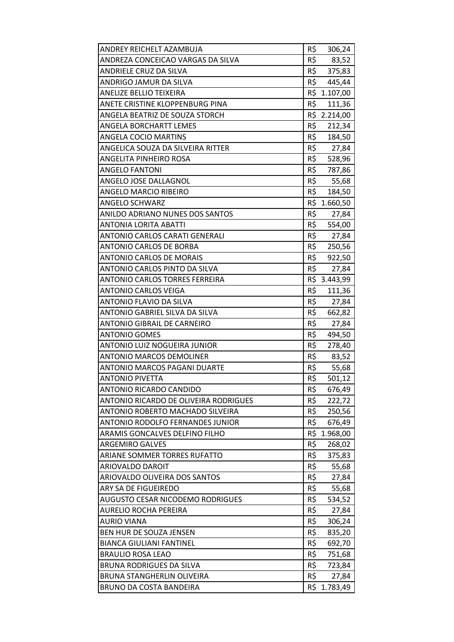| ANDREY REICHELT AZAMBUJA                | R\$<br>306,24   |
|-----------------------------------------|-----------------|
| ANDREZA CONCEICAO VARGAS DA SILVA       | R\$<br>83,52    |
| ANDRIELE CRUZ DA SILVA                  | R\$<br>375,83   |
| ANDRIGO JAMUR DA SILVA                  | R\$<br>445,44   |
| <b>ANELIZE BELLIO TEIXEIRA</b>          | R\$<br>1.107,00 |
| ANETE CRISTINE KLOPPENBURG PINA         | R\$<br>111,36   |
| ANGELA BEATRIZ DE SOUZA STORCH          | R\$ 2.214,00    |
| ANGELA BORCHARTT LEMES                  | R\$<br>212,34   |
| <b>ANGELA COCIO MARTINS</b>             | R\$<br>184,50   |
| ANGELICA SOUZA DA SILVEIRA RITTER       | R\$<br>27,84    |
| ANGELITA PINHEIRO ROSA                  | R\$ 528,96      |
| <b>ANGELO FANTONI</b>                   | R\$<br>787,86   |
| ANGELO JOSE DALLAGNOL                   | R\$<br>55,68    |
| ANGELO MARCIO RIBEIRO                   | R\$<br>184,50   |
| <b>ANGELO SCHWARZ</b>                   | R\$<br>1.660,50 |
| ANILDO ADRIANO NUNES DOS SANTOS         | R\$<br>27,84    |
| <b>ANTONIA LORITA ABATTI</b>            | R\$ 554,00      |
| ANTONIO CARLOS CARATI GENERALI          | R\$<br>27,84    |
| ANTONIO CARLOS DE BORBA                 | R\$<br>250,56   |
| <b>ANTONIO CARLOS DE MORAIS</b>         | R\$<br>922,50   |
| ANTONIO CARLOS PINTO DA SILVA           | R\$<br>27,84    |
| ANTONIO CARLOS TORRES FERREIRA          | R\$ 3.443,99    |
| <b>ANTONIO CARLOS VEIGA</b>             | R\$<br>111,36   |
| ANTONIO FLAVIO DA SILVA                 | R\$<br>27,84    |
| ANTONIO GABRIEL SILVA DA SILVA          | R\$<br>662,82   |
| ANTONIO GIBRAIL DE CARNEIRO             | R\$<br>27,84    |
| <b>ANTONIO GOMES</b>                    | R\$<br>494,50   |
| ANTONIO LUIZ NOGUEIRA JUNIOR            | R\$<br>278,40   |
| <b>ANTONIO MARCOS DEMOLINER</b>         | R\$<br>83,52    |
| ANTONIO MARCOS PAGANI DUARTE            | R\$<br>55,68    |
| <b>ANTONIO PIVETTA</b>                  | R\$<br>501,12   |
| ANTONIO RICARDO CANDIDO                 | R\$<br>676,49   |
| ANTONIO RICARDO DE OLIVEIRA RODRIGUES   | R\$<br>222,72   |
| ANTONIO ROBERTO MACHADO SILVEIRA        | R\$<br>250,56   |
| <b>ANTONIO RODOLFO FERNANDES JUNIOR</b> | R\$<br>676,49   |
| ARAMIS GONCALVES DELFINO FILHO          | R\$<br>1.968,00 |
| <b>ARGEMIRO GALVES</b>                  | R\$<br>268,02   |
| ARIANE SOMMER TORRES RUFATTO            | R\$<br>375,83   |
| ARIOVALDO DAROIT                        | R\$<br>55,68    |
| ARIOVALDO OLIVEIRA DOS SANTOS           | R\$<br>27,84    |
| ARY SA DE FIGUEIREDO                    | R\$<br>55,68    |
| <b>AUGUSTO CESAR NICODEMO RODRIGUES</b> | R\$<br>534,52   |
| AURELIO ROCHA PEREIRA                   | R\$<br>27,84    |
| <b>AURIO VIANA</b>                      | R\$<br>306,24   |
| BEN HUR DE SOUZA JENSEN                 | R\$<br>835,20   |
| <b>BIANCA GIULIANI FANTINEL</b>         | R\$<br>692,70   |
| <b>BRAULIO ROSA LEAO</b>                | R\$<br>751,68   |
| BRUNA RODRIGUES DA SILVA                | R\$<br>723,84   |
| BRUNA STANGHERLIN OLIVEIRA              | R\$<br>27,84    |
| BRUNO DA COSTA BANDEIRA                 | R\$<br>1.783,49 |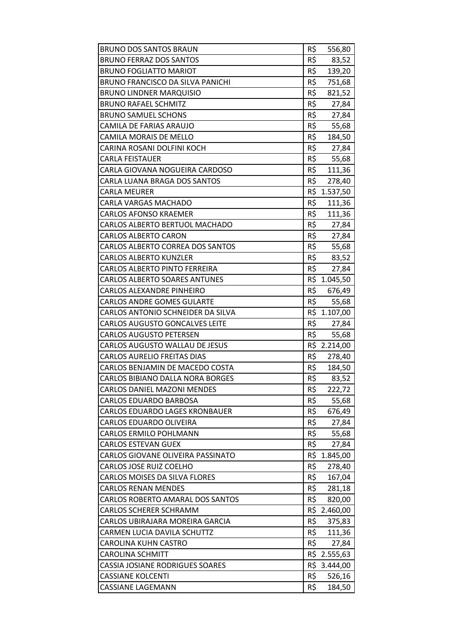| <b>BRUNO DOS SANTOS BRAUN</b>           | R\$ | 556,80       |
|-----------------------------------------|-----|--------------|
| <b>BRUNO FERRAZ DOS SANTOS</b>          | R\$ | 83,52        |
| <b>BRUNO FOGLIATTO MARIOT</b>           | R\$ | 139,20       |
| BRUNO FRANCISCO DA SILVA PANICHI        | R\$ | 751,68       |
| <b>BRUNO LINDNER MARQUISIO</b>          | R\$ | 821,52       |
| <b>BRUNO RAFAEL SCHMITZ</b>             | R\$ | 27,84        |
| <b>BRUNO SAMUEL SCHONS</b>              | R\$ | 27,84        |
| CAMILA DE FARIAS ARAUJO                 | R\$ | 55,68        |
| CAMILA MORAIS DE MELLO                  | R\$ | 184,50       |
| CARINA ROSANI DOLFINI KOCH              | R\$ | 27,84        |
| CARLA FEISTAUER                         | R\$ | 55,68        |
| CARLA GIOVANA NOGUEIRA CARDOSO          |     | R\$ 111,36   |
| CARLA LUANA BRAGA DOS SANTOS            | R\$ | 278,40       |
| CARLA MEURER                            | R\$ | 1.537,50     |
| CARLA VARGAS MACHADO                    | R\$ | 111,36       |
| <b>CARLOS AFONSO KRAEMER</b>            | R\$ | 111,36       |
| CARLOS ALBERTO BERTUOL MACHADO          |     | R\$ 27,84    |
| <b>CARLOS ALBERTO CARON</b>             | R\$ | 27,84        |
| CARLOS ALBERTO CORREA DOS SANTOS        | R\$ | 55,68        |
| <b>CARLOS ALBERTO KUNZLER</b>           | R\$ | 83,52        |
| CARLOS ALBERTO PINTO FERREIRA           | R\$ | 27,84        |
| <b>CARLOS ALBERTO SOARES ANTUNES</b>    |     | R\$ 1.045,50 |
| <b>CARLOS ALEXANDRE PINHEIRO</b>        | R\$ | 676,49       |
| <b>CARLOS ANDRE GOMES GULARTE</b>       | R\$ | 55,68        |
| CARLOS ANTONIO SCHNEIDER DA SILVA       |     | R\$ 1.107,00 |
| <b>CARLOS AUGUSTO GONCALVES LEITE</b>   | R\$ | 27,84        |
| <b>CARLOS AUGUSTO PETERSEN</b>          | R\$ | 55,68        |
| CARLOS AUGUSTO WALLAU DE JESUS          |     | R\$ 2.214,00 |
| <b>CARLOS AURELIO FREITAS DIAS</b>      | R\$ | 278,40       |
| CARLOS BENJAMIN DE MACEDO COSTA         | R\$ | 184,50       |
| <b>CARLOS BIBIANO DALLA NORA BORGES</b> | R\$ | 83,52        |
| <b>CARLOS DANIEL MAZONI MENDES</b>      | R\$ | 222,72       |
| <b>CARLOS EDUARDO BARBOSA</b>           | R\$ | 55,68        |
| <b>CARLOS EDUARDO LAGES KRONBAUER</b>   | R\$ | 676,49       |
| CARLOS EDUARDO OLIVEIRA                 | R\$ | 27,84        |
| <b>CARLOS ERMILO POHLMANN</b>           | R\$ | 55,68        |
| <b>CARLOS ESTEVAN GUEX</b>              | R\$ | 27,84        |
| CARLOS GIOVANE OLIVEIRA PASSINATO       | R\$ | 1.845,00     |
| <b>CARLOS JOSE RUIZ COELHO</b>          | R\$ | 278,40       |
| <b>CARLOS MOISES DA SILVA FLORES</b>    | R\$ | 167,04       |
| <b>CARLOS RENAN MENDES</b>              | R\$ | 281,18       |
| CARLOS ROBERTO AMARAL DOS SANTOS        | R\$ | 820,00       |
| <b>CARLOS SCHERER SCHRAMM</b>           |     | R\$ 2.460,00 |
| CARLOS UBIRAJARA MOREIRA GARCIA         | R\$ | 375,83       |
| CARMEN LUCIA DAVILA SCHUTTZ             | R\$ | 111,36       |
| CAROLINA KUHN CASTRO                    | R\$ | 27,84        |
| <b>CAROLINA SCHMITT</b>                 |     | R\$ 2.555,63 |
| CASSIA JOSIANE RODRIGUES SOARES         |     | R\$ 3.444,00 |
| <b>CASSIANE KOLCENTI</b>                | R\$ | 526,16       |
| <b>CASSIANE LAGEMANN</b>                | R\$ | 184,50       |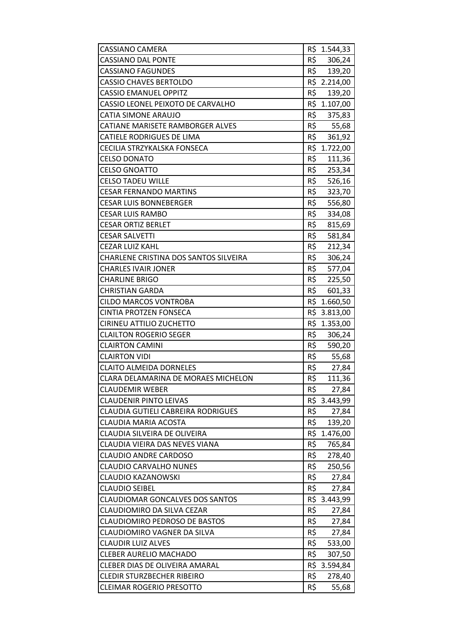| CASSIANO CAMERA                        |     | R\$ 1.544,33 |
|----------------------------------------|-----|--------------|
| <b>CASSIANO DAL PONTE</b>              |     | R\$ 306,24   |
| <b>CASSIANO FAGUNDES</b>               | R\$ | 139,20       |
| <b>CASSIO CHAVES BERTOLDO</b>          |     | R\$ 2.214,00 |
| <b>CASSIO EMANUEL OPPITZ</b>           | R\$ | 139,20       |
| CASSIO LEONEL PEIXOTO DE CARVALHO      |     | R\$ 1.107,00 |
| CATIA SIMONE ARAUJO                    |     | R\$ 375,83   |
| CATIANE MARISETE RAMBORGER ALVES       | R\$ | 55,68        |
| <b>CATIELE RODRIGUES DE LIMA</b>       | R\$ | 361,92       |
| CECILIA STRZYKALSKA FONSECA            | R\$ | 1.722,00     |
| <b>CELSO DONATO</b>                    | R\$ | 111,36       |
| <b>CELSO GNOATTO</b>                   | R\$ | 253,34       |
| <b>CELSO TADEU WILLE</b>               | R\$ | 526,16       |
| <b>CESAR FERNANDO MARTINS</b>          | R\$ | 323,70       |
| <b>CESAR LUIS BONNEBERGER</b>          | R\$ | 556,80       |
| CESAR LUIS RAMBO                       | R\$ | 334,08       |
| <b>CESAR ORTIZ BERLET</b>              | R\$ | 815,69       |
| <b>CESAR SALVETTI</b>                  | R\$ | 581,84       |
| <b>CEZAR LUIZ KAHL</b>                 | R\$ | 212,34       |
| CHARLENE CRISTINA DOS SANTOS SILVEIRA  | R\$ | 306,24       |
| CHARLES IVAIR JONER                    | R\$ | 577,04       |
| <b>CHARLINE BRIGO</b>                  |     | R\$ 225,50   |
| <b>CHRISTIAN GARDA</b>                 | R\$ | 601,33       |
| <b>CILDO MARCOS VONTROBA</b>           |     | R\$ 1.660,50 |
| <b>CINTIA PROTZEN FONSECA</b>          | R\$ | 3.813,00     |
| CIRINEU ATTILIO ZUCHETTO               |     | R\$ 1.353,00 |
| <b>CLAILTON ROGERIO SEGER</b>          |     | R\$ 306,24   |
| <b>CLAIRTON CAMINI</b>                 | R\$ | 590,20       |
| <b>CLAIRTON VIDI</b>                   | R\$ | 55,68        |
| <b>CLAITO ALMEIDA DORNELES</b>         | R\$ | 27,84        |
| CLARA DELAMARINA DE MORAES MICHELON    | R\$ | 111,36       |
| <b>CLAUDEMIR WEBER</b>                 | R\$ | 27,84        |
| <b>CLAUDENIR PINTO LEIVAS</b>          | R\$ | 3.443,99     |
| CLAUDIA GUTIELI CABREIRA RODRIGUES     | R\$ | 27,84        |
| CLAUDIA MARIA ACOSTA                   | R\$ | 139,20       |
| CLAUDIA SILVEIRA DE OLIVEIRA           |     | R\$ 1.476,00 |
| CLAUDIA VIEIRA DAS NEVES VIANA         | R\$ | 765,84       |
| <b>CLAUDIO ANDRE CARDOSO</b>           | R\$ | 278,40       |
| CLAUDIO CARVALHO NUNES                 | R\$ | 250,56       |
| <b>CLAUDIO KAZANOWSKI</b>              | R\$ | 27,84        |
| <b>CLAUDIO SEIBEL</b>                  | R\$ | 27,84        |
| <b>CLAUDIOMAR GONCALVES DOS SANTOS</b> |     | R\$ 3.443,99 |
| CLAUDIOMIRO DA SILVA CEZAR             | R\$ | 27,84        |
| <b>CLAUDIOMIRO PEDROSO DE BASTOS</b>   | R\$ | 27,84        |
| CLAUDIOMIRO VAGNER DA SILVA            | R\$ | 27,84        |
| CLAUDIR LUIZ ALVES                     | R\$ | 533,00       |
| <b>CLEBER AURELIO MACHADO</b>          | R\$ | 307,50       |
| CLEBER DIAS DE OLIVEIRA AMARAL         | R\$ | 3.594,84     |
| <b>CLEDIR STURZBECHER RIBEIRO</b>      | R\$ | 278,40       |
| <b>CLEIMAR ROGERIO PRESOTTO</b>        | R\$ | 55,68        |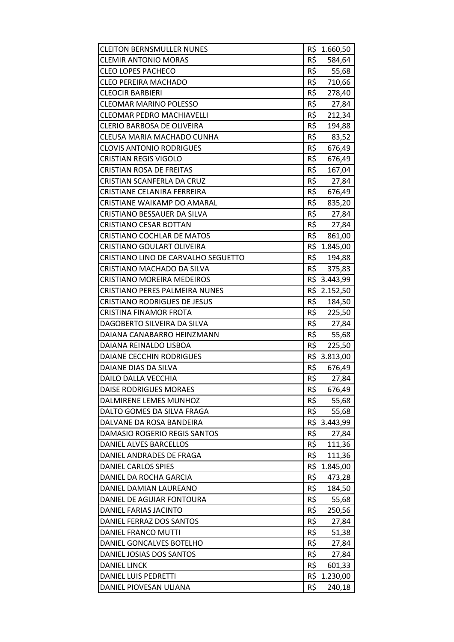| <b>CLEITON BERNSMULLER NUNES</b>      |     | R\$ 1.660,50 |
|---------------------------------------|-----|--------------|
| <b>CLEMIR ANTONIO MORAS</b>           | R\$ | 584,64       |
| <b>CLEO LOPES PACHECO</b>             | R\$ | 55,68        |
| <b>CLEO PEREIRA MACHADO</b>           | R\$ | 710,66       |
| <b>CLEOCIR BARBIERI</b>               | R\$ | 278,40       |
| <b>CLEOMAR MARINO POLESSO</b>         | R\$ | 27,84        |
| <b>CLEOMAR PEDRO MACHIAVELLI</b>      | R\$ | 212,34       |
| <b>CLERIO BARBOSA DE OLIVEIRA</b>     | R\$ | 194,88       |
| CLEUSA MARIA MACHADO CUNHA            | R\$ | 83,52        |
| <b>CLOVIS ANTONIO RODRIGUES</b>       | R\$ | 676,49       |
| <b>CRISTIAN REGIS VIGOLO</b>          | R\$ | 676,49       |
| <b>CRISTIAN ROSA DE FREITAS</b>       | R\$ | 167,04       |
| CRISTIAN SCANFERLA DA CRUZ            | R\$ | 27,84        |
| CRISTIANE CELANIRA FERREIRA           | R\$ | 676,49       |
| CRISTIANE WAIKAMP DO AMARAL           | R\$ | 835,20       |
| CRISTIANO BESSAUER DA SILVA           | R\$ | 27,84        |
| <b>CRISTIANO CESAR BOTTAN</b>         | R\$ | 27,84        |
| <b>CRISTIANO COCHLAR DE MATOS</b>     | R\$ | 861,00       |
| <b>CRISTIANO GOULART OLIVEIRA</b>     |     | R\$ 1.845,00 |
| CRISTIANO LINO DE CARVALHO SEGUETTO   | R\$ | 194,88       |
| CRISTIANO MACHADO DA SILVA            | R\$ | 375,83       |
| <b>CRISTIANO MOREIRA MEDEIROS</b>     |     | R\$ 3.443,99 |
| <b>CRISTIANO PERES PALMEIRA NUNES</b> |     | R\$ 2.152,50 |
| <b>CRISTIANO RODRIGUES DE JESUS</b>   | R\$ | 184,50       |
| <b>CRISTINA FINAMOR FROTA</b>         | R\$ | 225,50       |
| DAGOBERTO SILVEIRA DA SILVA           | R\$ | 27,84        |
| DAIANA CANABARRO HEINZMANN            |     | R\$ 55,68    |
| DAIANA REINALDO LISBOA                | R\$ | 225,50       |
| DAIANE CECCHIN RODRIGUES              |     | R\$ 3.813,00 |
| DAIANE DIAS DA SILVA                  | R\$ | 676,49       |
| DAILO DALLA VECCHIA                   | R\$ | 27,84        |
| <b>DAISE RODRIGUES MORAES</b>         | R\$ | 676,49       |
| DALMIRENE LEMES MUNHOZ                | R\$ | 55,68        |
| DALTO GOMES DA SILVA FRAGA            | R\$ | 55,68        |
| DALVANE DA ROSA BANDEIRA              |     | R\$ 3.443,99 |
| DAMASIO ROGERIO REGIS SANTOS          | R\$ | 27,84        |
| DANIEL ALVES BARCELLOS                | R\$ | 111,36       |
| DANIEL ANDRADES DE FRAGA              | R\$ | 111,36       |
| DANIEL CARLOS SPIES                   |     | R\$ 1.845,00 |
| DANIEL DA ROCHA GARCIA                | R\$ | 473,28       |
| DANIEL DAMIAN LAUREANO                | R\$ | 184,50       |
| DANIEL DE AGUIAR FONTOURA             | R\$ | 55,68        |
| DANIEL FARIAS JACINTO                 | R\$ | 250,56       |
| DANIEL FERRAZ DOS SANTOS              | R\$ | 27,84        |
| DANIEL FRANCO MUTTI                   | R\$ | 51,38        |
| DANIEL GONCALVES BOTELHO              | R\$ | 27,84        |
| DANIEL JOSIAS DOS SANTOS              | R\$ | 27,84        |
| <b>DANIEL LINCK</b>                   | R\$ | 601,33       |
| DANIEL LUIS PEDRETTI                  |     | R\$ 1.230,00 |
| DANIEL PIOVESAN ULIANA                | R\$ | 240,18       |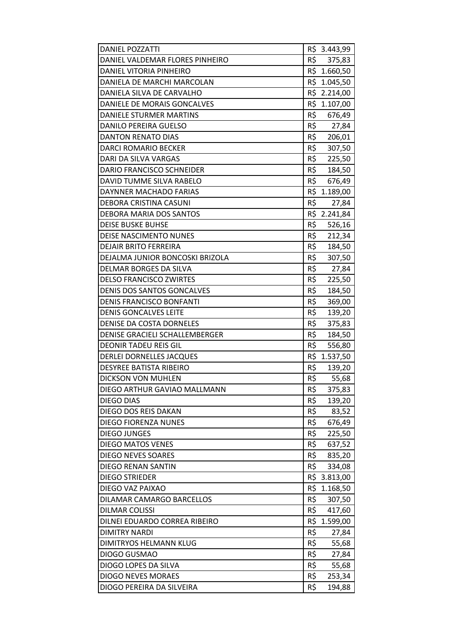| <b>DANIEL POZZATTI</b>           |     | R\$ 3.443,99 |
|----------------------------------|-----|--------------|
| DANIEL VALDEMAR FLORES PINHEIRO  | R\$ | 375,83       |
| DANIEL VITORIA PINHEIRO          |     | R\$ 1.660,50 |
| DANIELA DE MARCHI MARCOLAN       |     | R\$ 1.045,50 |
| DANIELA SILVA DE CARVALHO        |     | R\$ 2.214,00 |
| DANIELE DE MORAIS GONCALVES      |     | R\$ 1.107,00 |
| DANIELE STURMER MARTINS          | R\$ | 676,49       |
| DANILO PEREIRA GUELSO            | R\$ | 27,84        |
| <b>DANTON RENATO DIAS</b>        | R\$ | 206,01       |
| <b>DARCI ROMARIO BECKER</b>      | R\$ | 307,50       |
| DARI DA SILVA VARGAS             |     | R\$ 225,50   |
| <b>DARIO FRANCISCO SCHNEIDER</b> | R\$ | 184,50       |
| DAVID TUMME SILVA RABELO         | R\$ | 676,49       |
| DAYNNER MACHADO FARIAS           |     | R\$ 1.189,00 |
| <b>DEBORA CRISTINA CASUNI</b>    | R\$ | 27,84        |
| DEBORA MARIA DOS SANTOS          |     | R\$ 2.241,84 |
| <b>DEISE BUSKE BUHSE</b>         | R\$ | 526,16       |
| <b>DEISE NASCIMENTO NUNES</b>    | R\$ | 212,34       |
| <b>DEJAIR BRITO FERREIRA</b>     | R\$ | 184,50       |
| DEJALMA JUNIOR BONCOSKI BRIZOLA  | R\$ | 307,50       |
| DELMAR BORGES DA SILVA           | R\$ | 27,84        |
| <b>DELSO FRANCISCO ZWIRTES</b>   | R\$ | 225,50       |
| DENIS DOS SANTOS GONCALVES       | R\$ | 184,50       |
| DENIS FRANCISCO BONFANTI         | R\$ | 369,00       |
| <b>DENIS GONCALVES LEITE</b>     | R\$ | 139,20       |
| DENISE DA COSTA DORNELES         | R\$ | 375,83       |
| DENISE GRACIELI SCHALLEMBERGER   | R\$ | 184,50       |
| <b>DEONIR TADEU REIS GIL</b>     | R\$ | 556,80       |
| <b>DERLEI DORNELLES JACQUES</b>  |     | R\$ 1.537,50 |
| <b>DESYREE BATISTA RIBEIRO</b>   | R\$ | 139,20       |
| <b>DICKSON VON MUHLEN</b>        | R\$ | 55,68        |
| DIEGO ARTHUR GAVIAO MALLMANN     | R\$ | 375,83       |
| <b>DIEGO DIAS</b>                | R\$ | 139,20       |
| DIEGO DOS REIS DAKAN             | R\$ | 83,52        |
| <b>DIEGO FIORENZA NUNES</b>      | R\$ | 676,49       |
| <b>DIEGO JUNGES</b>              | R\$ | 225,50       |
| <b>DIEGO MATOS VENES</b>         | R\$ | 637,52       |
| <b>DIEGO NEVES SOARES</b>        | R\$ | 835,20       |
| <b>DIEGO RENAN SANTIN</b>        | R\$ | 334,08       |
| <b>DIEGO STRIEDER</b>            |     | R\$ 3.813,00 |
| DIEGO VAZ PAIXAO                 | R\$ | 1.168,50     |
| DILAMAR CAMARGO BARCELLOS        | R\$ | 307,50       |
| <b>DILMAR COLISSI</b>            | R\$ | 417,60       |
| DILNEI EDUARDO CORREA RIBEIRO    |     | R\$ 1.599,00 |
| <b>DIMITRY NARDI</b>             | R\$ | 27,84        |
| DIMITRYOS HELMANN KLUG           | R\$ | 55,68        |
| DIOGO GUSMAO                     | R\$ | 27,84        |
| DIOGO LOPES DA SILVA             | R\$ | 55,68        |
| <b>DIOGO NEVES MORAES</b>        | R\$ | 253,34       |
| DIOGO PEREIRA DA SILVEIRA        | R\$ | 194,88       |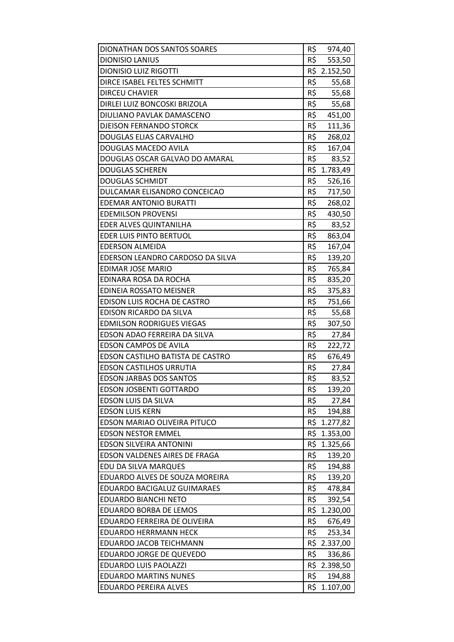| DIONATHAN DOS SANTOS SOARES             | R\$ | 974,40       |
|-----------------------------------------|-----|--------------|
| <b>DIONISIO LANIUS</b>                  | R\$ | 553,50       |
| <b>DIONISIO LUIZ RIGOTTI</b>            |     | R\$ 2.152,50 |
| DIRCE ISABEL FELTES SCHMITT             | R\$ | 55,68        |
| <b>DIRCEU CHAVIER</b>                   | R\$ | 55,68        |
| DIRLEI LUIZ BONCOSKI BRIZOLA            | R\$ | 55,68        |
| DIULIANO PAVLAK DAMASCENO               | R\$ | 451,00       |
| DJEISON FERNANDO STORCK                 | R\$ | 111,36       |
| DOUGLAS ELIAS CARVALHO                  | R\$ | 268,02       |
| DOUGLAS MACEDO AVILA                    | R\$ | 167,04       |
| DOUGLAS OSCAR GALVAO DO AMARAL          | R\$ | 83,52        |
| <b>DOUGLAS SCHEREN</b>                  |     | R\$ 1.783,49 |
| <b>DOUGLAS SCHMIDT</b>                  | R\$ | 526,16       |
| DULCAMAR ELISANDRO CONCEICAO            | R\$ | 717,50       |
| <b>EDEMAR ANTONIO BURATTI</b>           | R\$ | 268,02       |
| <b>EDEMILSON PROVENSI</b>               | R\$ | 430,50       |
| EDER ALVES QUINTANILHA                  | R\$ | 83,52        |
| <b>EDER LUIS PINTO BERTUOL</b>          | R\$ | 863,04       |
| <b>EDERSON ALMEIDA</b>                  | R\$ | 167,04       |
| EDERSON LEANDRO CARDOSO DA SILVA        | R\$ | 139,20       |
| <b>EDIMAR JOSE MARIO</b>                | R\$ | 765,84       |
| EDINARA ROSA DA ROCHA                   | R\$ | 835,20       |
| EDINEIA ROSSATO MEISNER                 | R\$ | 375,83       |
| EDISON LUIS ROCHA DE CASTRO             | R\$ | 751,66       |
| EDISON RICARDO DA SILVA                 | R\$ | 55,68        |
| <b>EDMILSON RODRIGUES VIEGAS</b>        | R\$ | 307,50       |
| EDSON ADAO FERREIRA DA SILVA            | R\$ | 27,84        |
| <b>EDSON CAMPOS DE AVILA</b>            | R\$ | 222,72       |
| <b>EDSON CASTILHO BATISTA DE CASTRO</b> | R\$ | 676,49       |
| <b>EDSON CASTILHOS URRUTIA</b>          | R\$ | 27,84        |
| <b>EDSON JARBAS DOS SANTOS</b>          | R\$ | 83,52        |
| <b>EDSON JOSBENTI GOTTARDO</b>          | R\$ | 139,20       |
| EDSON LUIS DA SILVA                     | R\$ | 27,84        |
| <b>EDSON LUIS KERN</b>                  | R\$ | 194,88       |
| EDSON MARIAO OLIVEIRA PITUCO            | R\$ | 1.277,82     |
| <b>EDSON NESTOR EMMEL</b>               |     | R\$ 1.353,00 |
| <b>EDSON SILVEIRA ANTONINI</b>          | R\$ | 1.325,66     |
| <b>EDSON VALDENES AIRES DE FRAGA</b>    | R\$ | 139,20       |
| EDU DA SILVA MARQUES                    | R\$ | 194,88       |
| EDUARDO ALVES DE SOUZA MOREIRA          | R\$ | 139,20       |
| EDUARDO BACIGALUZ GUIMARAES             | R\$ | 478,84       |
| <b>EDUARDO BIANCHI NETO</b>             | R\$ | 392,54       |
| EDUARDO BORBA DE LEMOS                  | R\$ | 1.230,00     |
| EDUARDO FERREIRA DE OLIVEIRA            | R\$ | 676,49       |
| <b>EDUARDO HERRMANN HECK</b>            | R\$ | 253,34       |
| EDUARDO JACOB TEICHMANN                 |     | R\$ 2.337,00 |
| EDUARDO JORGE DE QUEVEDO                | R\$ | 336,86       |
| EDUARDO LUIS PAOLAZZI                   |     | R\$ 2.398,50 |
| <b>EDUARDO MARTINS NUNES</b>            | R\$ | 194,88       |
| <b>EDUARDO PEREIRA ALVES</b>            |     | R\$ 1.107,00 |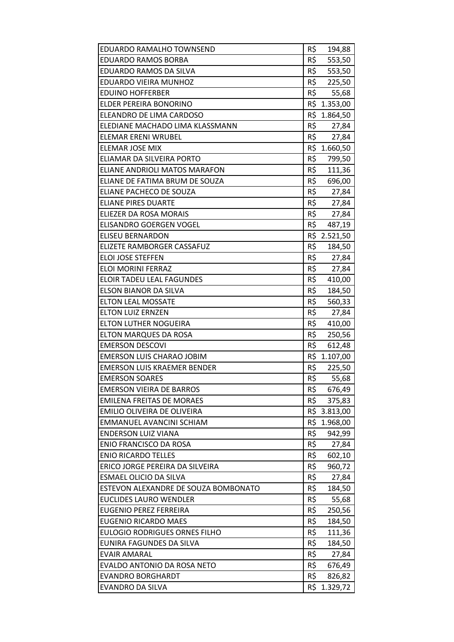| EDUARDO RAMALHO TOWNSEND             | R\$ | 194,88       |
|--------------------------------------|-----|--------------|
| <b>EDUARDO RAMOS BORBA</b>           | R\$ | 553,50       |
| EDUARDO RAMOS DA SILVA               | R\$ | 553,50       |
| EDUARDO VIEIRA MUNHOZ                | R\$ | 225,50       |
| <b>EDUINO HOFFERBER</b>              | R\$ | 55,68        |
| ELDER PEREIRA BONORINO               |     | R\$ 1.353,00 |
| ELEANDRO DE LIMA CARDOSO             |     | R\$ 1.864,50 |
| ELEDIANE MACHADO LIMA KLASSMANN      | R\$ | 27,84        |
| <b>ELEMAR ERENI WRUBEL</b>           | R\$ | 27,84        |
| ELEMAR JOSE MIX                      |     | R\$ 1.660,50 |
| ELIAMAR DA SILVEIRA PORTO            | R\$ | 799,50       |
| ELIANE ANDRIOLI MATOS MARAFON        | R\$ | 111,36       |
| ELIANE DE FATIMA BRUM DE SOUZA       | R\$ | 696,00       |
| ELIANE PACHECO DE SOUZA              | R\$ | 27,84        |
| <b>ELIANE PIRES DUARTE</b>           | R\$ | 27,84        |
| ELIEZER DA ROSA MORAIS               | R\$ | 27,84        |
| ELISANDRO GOERGEN VOGEL              | R\$ | 487,19       |
| <b>ELISEU BERNARDON</b>              |     | R\$ 2.521,50 |
| ELIZETE RAMBORGER CASSAFUZ           | R\$ | 184,50       |
| <b>ELOI JOSE STEFFEN</b>             | R\$ | 27,84        |
| ELOI MORINI FERRAZ                   | R\$ | 27,84        |
| ELOIR TADEU LEAL FAGUNDES            | R\$ | 410,00       |
| ELSON BIANOR DA SILVA                | R\$ | 184,50       |
| <b>ELTON LEAL MOSSATE</b>            | R\$ | 560,33       |
| <b>ELTON LUIZ ERNZEN</b>             | R\$ | 27,84        |
| <b>ELTON LUTHER NOGUEIRA</b>         | R\$ | 410,00       |
| ELTON MARQUES DA ROSA                | R\$ | 250,56       |
| <b>EMERSON DESCOVI</b>               | R\$ | 612,48       |
| <b>EMERSON LUIS CHARAO JOBIM</b>     | R\$ | 1.107,00     |
| <b>EMERSON LUIS KRAEMER BENDER</b>   | R\$ | 225,50       |
| <b>EMERSON SOARES</b>                | R\$ | 55,68        |
| <b>EMERSON VIEIRA DE BARROS</b>      | R\$ | 676,49       |
| <b>EMILENA FREITAS DE MORAES</b>     | R\$ | 375,83       |
| EMILIO OLIVEIRA DE OLIVEIRA          |     | R\$ 3.813,00 |
| EMMANUEL AVANCINI SCHIAM             | R\$ | 1.968,00     |
| <b>ENDERSON LUIZ VIANA</b>           | R\$ | 942,99       |
| <b>ENIO FRANCISCO DA ROSA</b>        | R\$ | 27,84        |
| <b>ENIO RICARDO TELLES</b>           | R\$ | 602,10       |
| ERICO JORGE PEREIRA DA SILVEIRA      | R\$ | 960,72       |
| ESMAEL OLICIO DA SILVA               | R\$ | 27,84        |
| ESTEVON ALEXANDRE DE SOUZA BOMBONATO | R\$ | 184,50       |
| <b>EUCLIDES LAURO WENDLER</b>        | R\$ | 55,68        |
| EUGENIO PEREZ FERREIRA               | R\$ | 250,56       |
| <b>EUGENIO RICARDO MAES</b>          | R\$ | 184,50       |
| <b>EULOGIO RODRIGUES ORNES FILHO</b> | R\$ | 111,36       |
| EUNIRA FAGUNDES DA SILVA             | R\$ | 184,50       |
| <b>EVAIR AMARAL</b>                  | R\$ | 27,84        |
| EVALDO ANTONIO DA ROSA NETO          | R\$ | 676,49       |
| <b>EVANDRO BORGHARDT</b>             | R\$ | 826,82       |
| <b>EVANDRO DA SILVA</b>              | R\$ | 1.329,72     |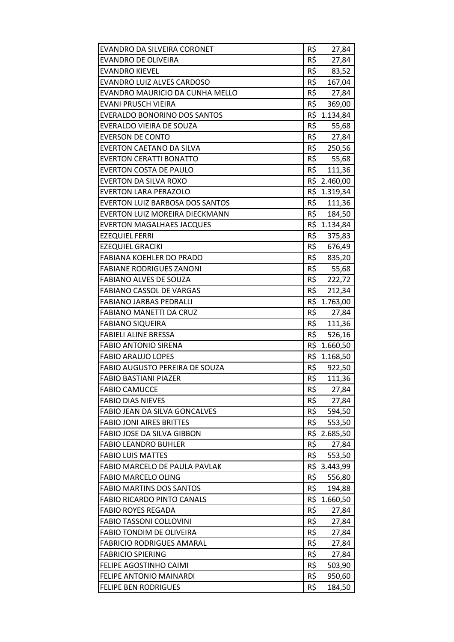| EVANDRO DA SILVEIRA CORONET            | R\$ | 27,84        |
|----------------------------------------|-----|--------------|
| <b>EVANDRO DE OLIVEIRA</b>             | R\$ | 27,84        |
| <b>EVANDRO KIEVEL</b>                  | R\$ | 83,52        |
| EVANDRO LUIZ ALVES CARDOSO             | R\$ | 167,04       |
| EVANDRO MAURICIO DA CUNHA MELLO        | R\$ | 27,84        |
| <b>EVANI PRUSCH VIEIRA</b>             | R\$ | 369,00       |
| <b>EVERALDO BONORINO DOS SANTOS</b>    |     | R\$ 1.134,84 |
| EVERALDO VIEIRA DE SOUZA               | R\$ | 55,68        |
| <b>EVERSON DE CONTO</b>                | R\$ | 27,84        |
| EVERTON CAETANO DA SILVA               | R\$ | 250,56       |
| <b>EVERTON CERATTI BONATTO</b>         |     | R\$ 55,68    |
| <b>EVERTON COSTA DE PAULO</b>          |     | R\$ 111,36   |
| EVERTON DA SILVA ROXO                  |     | R\$ 2.460,00 |
| <b>EVERTON LARA PERAZOLO</b>           |     | R\$ 1.319,34 |
| <b>EVERTON LUIZ BARBOSA DOS SANTOS</b> | R\$ | 111,36       |
| EVERTON LUIZ MOREIRA DIECKMANN         |     | R\$ 184,50   |
| <b>EVERTON MAGALHAES JACQUES</b>       |     | R\$ 1.134,84 |
| <b>EZEQUIEL FERRI</b>                  | R\$ | 375,83       |
| <b>EZEQUIEL GRACIKI</b>                | R\$ | 676,49       |
| FABIANA KOEHLER DO PRADO               | R\$ | 835,20       |
| <b>FABIANE RODRIGUES ZANONI</b>        |     | R\$ 55,68    |
| <b>FABIANO ALVES DE SOUZA</b>          |     | R\$ 222,72   |
| <b>FABIANO CASSOL DE VARGAS</b>        | R\$ | 212,34       |
| <b>FABIANO JARBAS PEDRALLI</b>         |     | R\$ 1.763,00 |
| <b>FABIANO MANETTI DA CRUZ</b>         | R\$ | 27,84        |
| <b>FABIANO SIQUEIRA</b>                |     | R\$ 111,36   |
| <b>FABIELI ALINE BRESSA</b>            |     | R\$ 526,16   |
| <b>FABIO ANTONIO SIRENA</b>            |     | R\$ 1.660,50 |
| <b>FABIO ARAUJO LOPES</b>              |     | R\$ 1.168,50 |
| FABIO AUGUSTO PEREIRA DE SOUZA         | R\$ | 922,50       |
| <b>FABIO BASTIANI PIAZER</b>           | R\$ | 111,36       |
| <b>FABIO CAMUCCE</b>                   | R\$ | 27,84        |
| <b>FABIO DIAS NIEVES</b>               | R\$ | 27,84        |
| FABIO JEAN DA SILVA GONCALVES          | R\$ | 594,50       |
| <b>FABIO JONI AIRES BRITTES</b>        | R\$ | 553,50       |
| FABIO JOSE DA SILVA GIBBON             | R\$ | 2.685,50     |
| <b>FABIO LEANDRO BUHLER</b>            | R\$ | 27,84        |
| <b>FABIO LUIS MATTES</b>               | R\$ | 553,50       |
| FABIO MARCELO DE PAULA PAVLAK          |     | R\$ 3.443,99 |
| <b>FABIO MARCELO OLING</b>             | R\$ | 556,80       |
| <b>FABIO MARTINS DOS SANTOS</b>        | R\$ | 194,88       |
| <b>FABIO RICARDO PINTO CANALS</b>      | R\$ | 1.660,50     |
| <b>FABIO ROYES REGADA</b>              | R\$ | 27,84        |
| <b>FABIO TASSONI COLLOVINI</b>         | R\$ | 27,84        |
| <b>FABIO TONDIM DE OLIVEIRA</b>        | R\$ | 27,84        |
| <b>FABRICIO RODRIGUES AMARAL</b>       | R\$ | 27,84        |
| <b>FABRICIO SPIERING</b>               | R\$ | 27,84        |
| FELIPE AGOSTINHO CAIMI                 | R\$ | 503,90       |
| FELIPE ANTONIO MAINARDI                | R\$ | 950,60       |
| <b>FELIPE BEN RODRIGUES</b>            | R\$ | 184,50       |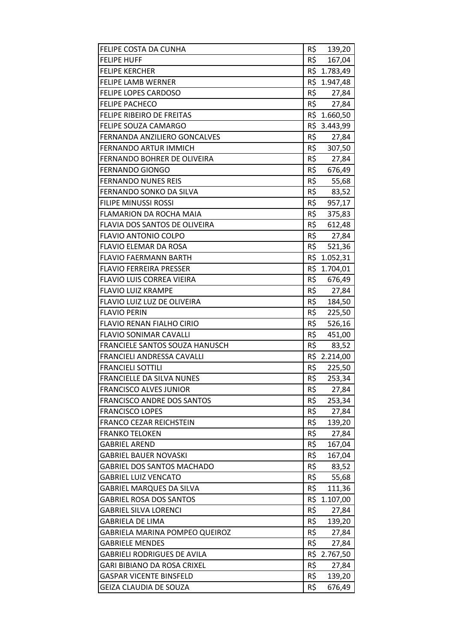| FELIPE COSTA DA CUNHA              | R\$ | 139,20       |
|------------------------------------|-----|--------------|
| <b>FELIPE HUFF</b>                 | R\$ | 167,04       |
| <b>FELIPE KERCHER</b>              |     | R\$ 1.783,49 |
| <b>FELIPE LAMB WERNER</b>          |     | R\$ 1.947,48 |
| <b>FELIPE LOPES CARDOSO</b>        | R\$ | 27,84        |
| <b>FELIPE PACHECO</b>              | R\$ | 27,84        |
| FELIPE RIBEIRO DE FREITAS          |     | R\$ 1.660,50 |
| FELIPE SOUZA CAMARGO               |     | R\$ 3.443,99 |
| FERNANDA ANZILIERO GONCALVES       | R\$ | 27,84        |
| FERNANDO ARTUR IMMICH              | R\$ | 307,50       |
| FERNANDO BOHRER DE OLIVEIRA        | R\$ | 27,84        |
| <b>FERNANDO GIONGO</b>             |     | R\$ 676,49   |
| <b>FERNANDO NUNES REIS</b>         | R\$ | 55,68        |
| FERNANDO SONKO DA SILVA            | R\$ | 83,52        |
| <b>FILIPE MINUSSI ROSSI</b>        | R\$ | 957,17       |
| <b>FLAMARION DA ROCHA MAIA</b>     | R\$ | 375,83       |
| FLAVIA DOS SANTOS DE OLIVEIRA      |     | R\$ 612,48   |
| <b>FLAVIO ANTONIO COLPO</b>        | R\$ | 27,84        |
| FLAVIO ELEMAR DA ROSA              | R\$ | 521,36       |
| <b>FLAVIO FAERMANN BARTH</b>       | R\$ | 1.052,31     |
| <b>FLAVIO FERREIRA PRESSER</b>     |     | R\$ 1.704,01 |
| FLAVIO LUIS CORREA VIEIRA          |     | R\$ 676,49   |
| <b>FLAVIO LUIZ KRAMPE</b>          | R\$ | 27,84        |
| FLAVIO LUIZ LUZ DE OLIVEIRA        | R\$ | 184,50       |
| <b>FLAVIO PERIN</b>                | R\$ | 225,50       |
| <b>FLAVIO RENAN FIALHO CIRIO</b>   | R\$ | 526,16       |
| <b>FLAVIO SONIMAR CAVALLI</b>      |     | R\$ 451,00   |
| FRANCIELE SANTOS SOUZA HANUSCH     | R\$ | 83,52        |
| FRANCIELI ANDRESSA CAVALLI         |     | R\$ 2.214,00 |
| <b>FRANCIELI SOTTILI</b>           | R\$ | 225,50       |
| <b>FRANCIELLE DA SILVA NUNES</b>   | R\$ | 253,34       |
| <b>FRANCISCO ALVES JUNIOR</b>      | R\$ | 27,84        |
| <b>FRANCISCO ANDRE DOS SANTOS</b>  | R\$ | 253,34       |
| <b>FRANCISCO LOPES</b>             | R\$ | 27,84        |
| <b>FRANCO CEZAR REICHSTEIN</b>     | R\$ | 139,20       |
| <b>FRANKO TELOKEN</b>              | R\$ | 27,84        |
| <b>GABRIEL AREND</b>               | R\$ | 167,04       |
| <b>GABRIEL BAUER NOVASKI</b>       | R\$ | 167,04       |
| <b>GABRIEL DOS SANTOS MACHADO</b>  | R\$ | 83,52        |
| <b>GABRIEL LUIZ VENCATO</b>        | R\$ | 55,68        |
| <b>GABRIEL MARQUES DA SILVA</b>    | R\$ | 111,36       |
| <b>GABRIEL ROSA DOS SANTOS</b>     | R\$ | 1.107,00     |
| <b>GABRIEL SILVA LORENCI</b>       | R\$ | 27,84        |
| <b>GABRIELA DE LIMA</b>            | R\$ | 139,20       |
| GABRIELA MARINA POMPEO QUEIROZ     | R\$ | 27,84        |
| <b>GABRIELE MENDES</b>             | R\$ | 27,84        |
| <b>GABRIELI RODRIGUES DE AVILA</b> |     | R\$ 2.767,50 |
| GARI BIBIANO DA ROSA CRIXEL        | R\$ | 27,84        |
| <b>GASPAR VICENTE BINSFELD</b>     | R\$ | 139,20       |
| <b>GEIZA CLAUDIA DE SOUZA</b>      | R\$ | 676,49       |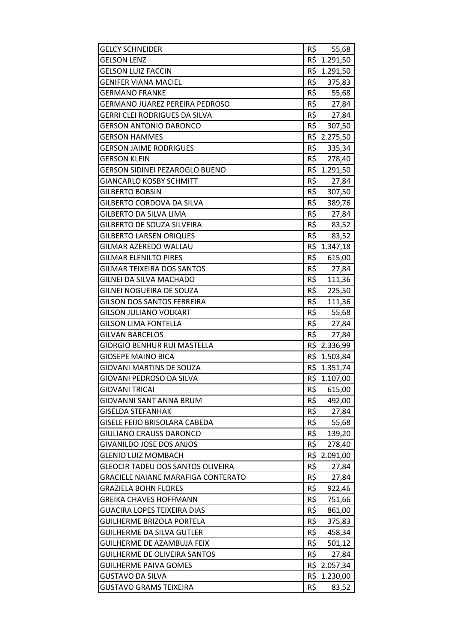| <b>GELCY SCHNEIDER</b>                    | R\$ | 55,68        |
|-------------------------------------------|-----|--------------|
| <b>GELSON LENZ</b>                        |     | R\$ 1.291,50 |
| <b>GELSON LUIZ FACCIN</b>                 |     | R\$ 1.291,50 |
| <b>GENIFER VIANA MACIEL</b>               | R\$ | 375,83       |
| <b>GERMANO FRANKE</b>                     | R\$ | 55,68        |
| GERMANO JUAREZ PEREIRA PEDROSO            |     | R\$ 27,84    |
| GERRI CLEI RODRIGUES DA SILVA             |     | R\$ 27,84    |
| GERSON ANTONIO DARONCO                    | R\$ | 307,50       |
| GERSON HAMMES                             |     | R\$ 2.275,50 |
| <b>GERSON JAIME RODRIGUES</b>             | R\$ | 335,34       |
| <b>GERSON KLEIN</b>                       |     | R\$ 278,40   |
| <b>GERSON SIDINEI PEZAROGLO BUENO</b>     |     | R\$ 1.291,50 |
| GIANCARLO KOSBY SCHMITT                   | R\$ | 27,84        |
| <b>GILBERTO BOBSIN</b>                    | R\$ | 307,50       |
| GILBERTO CORDOVA DA SILVA                 | R\$ | 389,76       |
| GILBERTO DA SILVA LIMA                    |     | R\$ 27,84    |
| <b>GILBERTO DE SOUZA SILVEIRA</b>         |     | R\$ 83,52    |
| <b>GILBERTO LARSEN ORIQUES</b>            | R\$ | 83,52        |
| GILMAR AZEREDO WALLAU                     |     | R\$ 1.347,18 |
| GILMAR ELENILTO PIRES                     | R\$ | 615,00       |
| <b>GILMAR TEIXEIRA DOS SANTOS</b>         | R\$ | 27,84        |
| GILNEI DA SILVA MACHADO                   |     | R\$ 111,36   |
| GILNEI NOGUEIRA DE SOUZA                  | R\$ | 225,50       |
| <b>GILSON DOS SANTOS FERREIRA</b>         | R\$ | 111,36       |
| <b>GILSON JULIANO VOLKART</b>             | R\$ | 55,68        |
| <b>GILSON LIMA FONTELLA</b>               |     | R\$ 27,84    |
| <b>GILVAN BARCELOS</b>                    |     | R\$ 27,84    |
| GIORGIO BENHUR RUI MASTELLA               |     | R\$ 2.336,99 |
| <b>GIOSEPE MAINO BICA</b>                 |     | R\$ 1.503,84 |
| <b>GIOVANI MARTINS DE SOUZA</b>           |     | R\$ 1.351,74 |
| GIOVANI PEDROSO DA SILVA                  |     | R\$ 1.107,00 |
| <b>GIOVANI TRICAI</b>                     | R\$ | 615,00       |
| <b>GIOVANNI SANT ANNA BRUM</b>            | R\$ | 492,00       |
| <b>GISELDA STEFANHAK</b>                  | R\$ | 27,84        |
| <b>GISELE FEIJO BRISOLARA CABEDA</b>      | R\$ | 55,68        |
| <b>GIULIANO CRAUSS DARONCO</b>            | R\$ | 139,20       |
| <b>GIVANILDO JOSE DOS ANJOS</b>           | R\$ | 278,40       |
| <b>GLENIO LUIZ MOMBACH</b>                | R\$ | 2.091,00     |
| GLEOCIR TADEU DOS SANTOS OLIVEIRA         | R\$ | 27,84        |
| <b>GRACIELE NAIANE MARAFIGA CONTERATO</b> | R\$ | 27,84        |
| <b>GRAZIELA BOHN FLORES</b>               | R\$ | 922,46       |
| <b>GREIKA CHAVES HOFFMANN</b>             | R\$ | 751,66       |
| GUACIRA LOPES TEIXEIRA DIAS               | R\$ | 861,00       |
| <b>GUILHERME BRIZOLA PORTELA</b>          | R\$ | 375,83       |
| <b>GUILHERME DA SILVA GUTLER</b>          | R\$ | 458,34       |
| GUILHERME DE AZAMBUJA FEIX                | R\$ | 501,12       |
| <b>GUILHERME DE OLIVEIRA SANTOS</b>       | R\$ | 27,84        |
| <b>GUILHERME PAIVA GOMES</b>              |     | R\$ 2.057,34 |
| <b>GUSTAVO DA SILVA</b>                   |     | R\$ 1.230,00 |
| <b>GUSTAVO GRAMS TEIXEIRA</b>             | R\$ | 83,52        |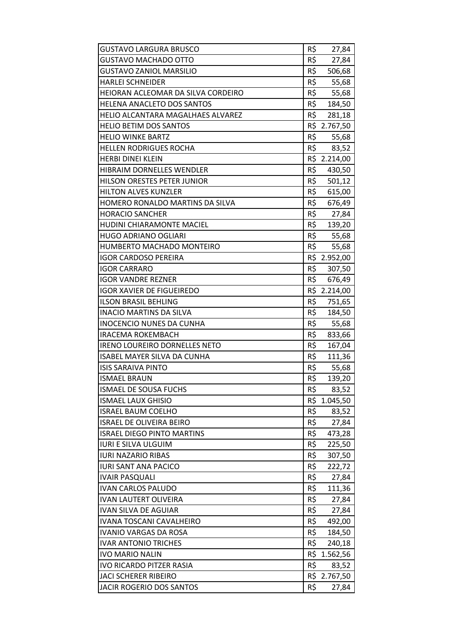| <b>GUSTAVO LARGURA BRUSCO</b>        | R\$ | 27,84        |
|--------------------------------------|-----|--------------|
| <b>GUSTAVO MACHADO OTTO</b>          | R\$ | 27,84        |
| <b>GUSTAVO ZANIOL MARSILIO</b>       | R\$ | 506,68       |
| <b>HARLEI SCHNEIDER</b>              | R\$ | 55,68        |
| HEIORAN ACLEOMAR DA SILVA CORDEIRO   | R\$ | 55,68        |
| HELENA ANACLETO DOS SANTOS           | R\$ | 184,50       |
| HELIO ALCANTARA MAGALHAES ALVAREZ    | R\$ | 281,18       |
| <b>HELIO BETIM DOS SANTOS</b>        |     | R\$ 2.767,50 |
| <b>HELIO WINKE BARTZ</b>             | R\$ | 55,68        |
| <b>HELLEN RODRIGUES ROCHA</b>        | R\$ | 83,52        |
| <b>HERBI DINEI KLEIN</b>             |     | R\$ 2.214,00 |
| HIBRAIM DORNELLES WENDLER            | R\$ | 430,50       |
| HILSON ORESTES PETER JUNIOR          | R\$ | 501,12       |
| <b>HILTON ALVES KUNZLER</b>          | R\$ | 615,00       |
| HOMERO RONALDO MARTINS DA SILVA      | R\$ | 676,49       |
| <b>HORACIO SANCHER</b>               | R\$ | 27,84        |
| HUDINI CHIARAMONTE MACIEL            |     | R\$ 139,20   |
| <b>HUGO ADRIANO OGLIARI</b>          | R\$ | 55,68        |
| HUMBERTO MACHADO MONTEIRO            | R\$ | 55,68        |
| <b>IGOR CARDOSO PEREIRA</b>          |     | R\$ 2.952,00 |
| <b>IGOR CARRARO</b>                  | R\$ | 307,50       |
| <b>IGOR VANDRE REZNER</b>            |     | R\$ 676,49   |
| <b>IGOR XAVIER DE FIGUEIREDO</b>     |     | R\$ 2.214,00 |
| <b>ILSON BRASIL BEHLING</b>          | R\$ | 751,65       |
| <b>INACIO MARTINS DA SILVA</b>       | R\$ | 184,50       |
| <b>INOCENCIO NUNES DA CUNHA</b>      | R\$ | 55,68        |
| <b>IRACEMA ROKEMBACH</b>             | R\$ | 833,66       |
| <b>IRENO LOUREIRO DORNELLES NETO</b> | R\$ | 167,04       |
| <b>ISABEL MAYER SILVA DA CUNHA</b>   | R\$ | 111,36       |
| <b>ISIS SARAIVA PINTO</b>            | R\$ | 55,68        |
| <b>ISMAEL BRAUN</b>                  | R\$ | 139,20       |
| ISMAEL DE SOUSA FUCHS                | R\$ | 83,52        |
| <b>ISMAEL LAUX GHISIO</b>            |     | R\$ 1.045,50 |
| <b>ISRAEL BAUM COELHO</b>            | R\$ | 83,52        |
| <b>ISRAEL DE OLIVEIRA BEIRO</b>      | R\$ | 27,84        |
| <b>ISRAEL DIEGO PINTO MARTINS</b>    | R\$ | 473,28       |
| <b>IURI E SILVA ULGUIM</b>           | R\$ | 225,50       |
| <b>IURI NAZARIO RIBAS</b>            | R\$ | 307,50       |
| <b>IURI SANT ANA PACICO</b>          | R\$ | 222,72       |
| <b>IVAIR PASQUALI</b>                | R\$ | 27,84        |
| <b>IVAN CARLOS PALUDO</b>            | R\$ | 111,36       |
| <b>IVAN LAUTERT OLIVEIRA</b>         | R\$ | 27,84        |
| <b>IVAN SILVA DE AGUIAR</b>          | R\$ | 27,84        |
| <b>IVANA TOSCANI CAVALHEIRO</b>      | R\$ | 492,00       |
| <b>IVANIO VARGAS DA ROSA</b>         | R\$ | 184,50       |
| <b>IVAR ANTONIO TRICHES</b>          | R\$ | 240,18       |
| <b>IVO MARIO NALIN</b>               | R\$ | 1.562,56     |
| IVO RICARDO PITZER RASIA             | R\$ | 83,52        |
| <b>JACI SCHERER RIBEIRO</b>          |     | R\$ 2.767,50 |
| JACIR ROGERIO DOS SANTOS             | R\$ | 27,84        |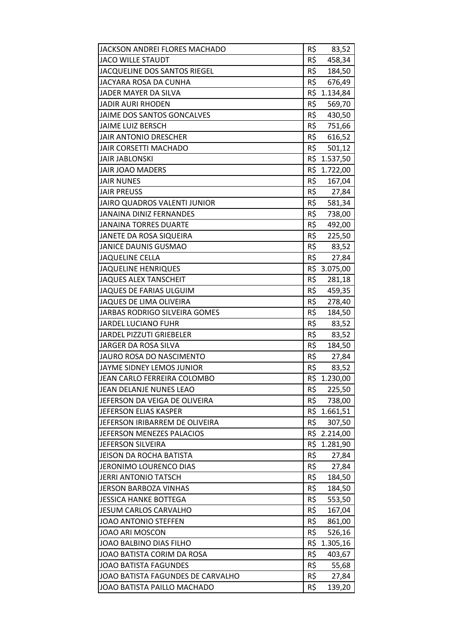| JACKSON ANDREI FLORES MACHADO     | R\$ | 83,52        |
|-----------------------------------|-----|--------------|
| <b>JACO WILLE STAUDT</b>          | R\$ | 458,34       |
| JACQUELINE DOS SANTOS RIEGEL      | R\$ | 184,50       |
| JACYARA ROSA DA CUNHA             | R\$ | 676,49       |
| JADER MAYER DA SILVA              | R\$ | 1.134,84     |
| <b>JADIR AURI RHODEN</b>          | R\$ | 569,70       |
| JAIME DOS SANTOS GONCALVES        | R\$ | 430,50       |
| JAIME LUIZ BERSCH                 | R\$ | 751,66       |
| <b>JAIR ANTONIO DRESCHER</b>      | R\$ | 616,52       |
| <b>JAIR CORSETTI MACHADO</b>      | R\$ | 501,12       |
| <b>JAIR JABLONSKI</b>             |     | R\$ 1.537,50 |
| <b>JAIR JOAO MADERS</b>           |     | R\$ 1.722,00 |
| <b>JAIR NUNES</b>                 | R\$ | 167,04       |
| <b>JAIR PREUSS</b>                | R\$ | 27,84        |
| JAIRO QUADROS VALENTI JUNIOR      | R\$ | 581,34       |
| <b>JANAINA DINIZ FERNANDES</b>    | R\$ | 738,00       |
| <b>JANAINA TORRES DUARTE</b>      | R\$ | 492,00       |
| JANETE DA ROSA SIQUEIRA           | R\$ | 225,50       |
| <b>JANICE DAUNIS GUSMAO</b>       | R\$ | 83,52        |
| <b>JAQUELINE CELLA</b>            | R\$ | 27,84        |
| <b>JAQUELINE HENRIQUES</b>        |     | R\$ 3.075,00 |
| <b>JAQUES ALEX TANSCHEIT</b>      | R\$ | 281,18       |
| <b>JAQUES DE FARIAS ULGUIM</b>    | R\$ | 459,35       |
| JAQUES DE LIMA OLIVEIRA           | R\$ | 278,40       |
| JARBAS RODRIGO SILVEIRA GOMES     | R\$ | 184,50       |
| <b>JARDEL LUCIANO FUHR</b>        | R\$ | 83,52        |
| <b>JARDEL PIZZUTI GRIEBELER</b>   | R\$ | 83,52        |
| JARGER DA ROSA SILVA              | R\$ | 184,50       |
| JAURO ROSA DO NASCIMENTO          | R\$ | 27,84        |
| JAYME SIDNEY LEMOS JUNIOR         | R\$ | 83,52        |
| JEAN CARLO FERREIRA COLOMBO       | R\$ | 1.230,00     |
| JEAN DELANJE NUNES LEAO           | R\$ | 225,50       |
| JEFERSON DA VEIGA DE OLIVEIRA     | R\$ | 738,00       |
| JEFERSON ELIAS KASPER             |     | R\$ 1.661,51 |
| JEFERSON IRIBARREM DE OLIVEIRA    | R\$ | 307,50       |
| JEFERSON MENEZES PALACIOS         |     | R\$ 2.214,00 |
| JEFERSON SILVEIRA                 | R\$ | 1.281,90     |
| <b>JEISON DA ROCHA BATISTA</b>    | R\$ | 27,84        |
| JERONIMO LOURENCO DIAS            | R\$ | 27,84        |
| <b>JERRI ANTONIO TATSCH</b>       | R\$ | 184,50       |
| <b>JERSON BARBOZA VINHAS</b>      | R\$ | 184,50       |
| <b>JESSICA HANKE BOTTEGA</b>      | R\$ | 553,50       |
| <b>JESUM CARLOS CARVALHO</b>      | R\$ | 167,04       |
| JOAO ANTONIO STEFFEN              | R\$ | 861,00       |
| JOAO ARI MOSCON                   | R\$ | 526,16       |
| JOAO BALBINO DIAS FILHO           | R\$ | 1.305,16     |
| JOAO BATISTA CORIM DA ROSA        | R\$ | 403,67       |
| <b>JOAO BATISTA FAGUNDES</b>      | R\$ | 55,68        |
| JOAO BATISTA FAGUNDES DE CARVALHO | R\$ | 27,84        |
| JOAO BATISTA PAILLO MACHADO       | R\$ | 139,20       |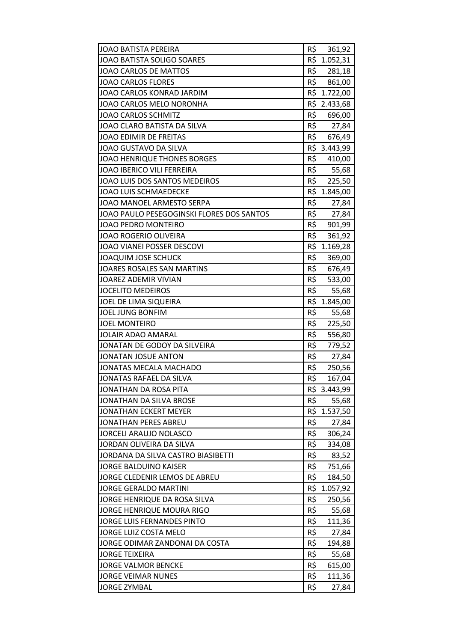| JOAO BATISTA PEREIRA                      | R\$ | 361,92       |
|-------------------------------------------|-----|--------------|
| JOAO BATISTA SOLIGO SOARES                |     | R\$ 1.052,31 |
| JOAO CARLOS DE MATTOS                     | R\$ | 281,18       |
| <b>JOAO CARLOS FLORES</b>                 | R\$ | 861,00       |
| JOAO CARLOS KONRAD JARDIM                 | R\$ | 1.722,00     |
| JOAO CARLOS MELO NORONHA                  |     | R\$ 2.433,68 |
| <b>JOAO CARLOS SCHMITZ</b>                |     | R\$ 696,00   |
| JOAO CLARO BATISTA DA SILVA               | R\$ | 27,84        |
| <b>JOAO EDIMIR DE FREITAS</b>             | R\$ | 676,49       |
| JOAO GUSTAVO DA SILVA                     | R\$ | 3.443,99     |
| <b>JOAO HENRIQUE THONES BORGES</b>        | R\$ | 410,00       |
| <b>JOAO IBERICO VILI FERREIRA</b>         | R\$ | 55,68        |
| JOAO LUIS DOS SANTOS MEDEIROS             | R\$ | 225,50       |
| <b>JOAO LUIS SCHMAEDECKE</b>              |     | R\$ 1.845,00 |
| JOAO MANOEL ARMESTO SERPA                 | R\$ | 27,84        |
| JOAO PAULO PESEGOGINSKI FLORES DOS SANTOS | R\$ | 27,84        |
| JOAO PEDRO MONTEIRO                       |     | R\$ 901,99   |
| JOAO ROGERIO OLIVEIRA                     | R\$ | 361,92       |
| JOAO VIANEI POSSER DESCOVI                | R\$ | 1.169,28     |
| <b>JOAQUIM JOSE SCHUCK</b>                | R\$ | 369,00       |
| <b>JOARES ROSALES SAN MARTINS</b>         |     | R\$ 676,49   |
| JOAREZ ADEMIR VIVIAN                      |     | R\$ 533,00   |
| <b>JOCELITO MEDEIROS</b>                  | R\$ | 55,68        |
| JOEL DE LIMA SIQUEIRA                     |     | R\$ 1.845,00 |
| <b>JOEL JUNG BONFIM</b>                   | R\$ | 55,68        |
| <b>JOEL MONTEIRO</b>                      | R\$ | 225,50       |
| <b>JOLAIR ADAO AMARAL</b>                 | R\$ | 556,80       |
| JONATAN DE GODOY DA SILVEIRA              | R\$ | 779,52       |
| <b>JONATAN JOSUE ANTON</b>                | R\$ | 27,84        |
| JONATAS MECALA MACHADO                    | R\$ | 250,56       |
| JONATAS RAFAEL DA SILVA                   | R\$ | 167,04       |
| JONATHAN DA ROSA PITA                     | R\$ | 3.443,99     |
| JONATHAN DA SILVA BROSE                   | R\$ | 55,68        |
| JONATHAN ECKERT MEYER                     |     | R\$ 1.537,50 |
| JONATHAN PERES ABREU                      | R\$ | 27,84        |
| <b>JORCELI ARAUJO NOLASCO</b>             | R\$ | 306,24       |
| JORDAN OLIVEIRA DA SILVA                  | R\$ | 334,08       |
| JORDANA DA SILVA CASTRO BIASIBETTI        | R\$ | 83,52        |
| <b>JORGE BALDUINO KAISER</b>              | R\$ | 751,66       |
| JORGE CLEDENIR LEMOS DE ABREU             | R\$ | 184,50       |
| <b>JORGE GERALDO MARTINI</b>              | R\$ | 1.057,92     |
| JORGE HENRIQUE DA ROSA SILVA              | R\$ | 250,56       |
| JORGE HENRIQUE MOURA RIGO                 | R\$ | 55,68        |
| JORGE LUIS FERNANDES PINTO                | R\$ | 111,36       |
| JORGE LUIZ COSTA MELO                     | R\$ | 27,84        |
| JORGE ODIMAR ZANDONAI DA COSTA            | R\$ | 194,88       |
| <b>JORGE TEIXEIRA</b>                     | R\$ | 55,68        |
| <b>JORGE VALMOR BENCKE</b>                | R\$ | 615,00       |
| <b>JORGE VEIMAR NUNES</b>                 | R\$ | 111,36       |
| <b>JORGE ZYMBAL</b>                       | R\$ | 27,84        |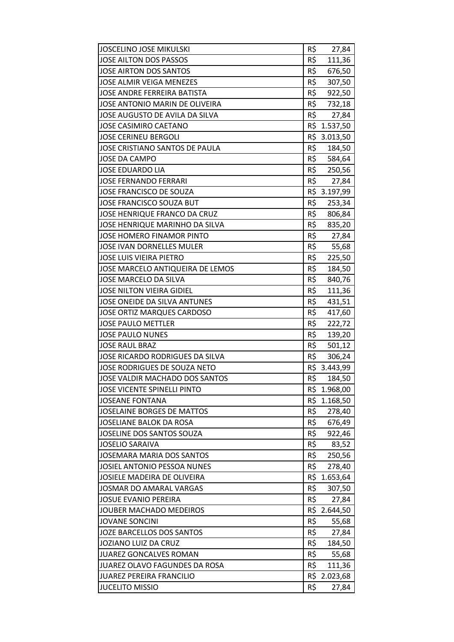| <b>JOSCELINO JOSE MIKULSKI</b>      | R\$ | 27,84        |
|-------------------------------------|-----|--------------|
| JOSE AILTON DOS PASSOS              | R\$ | 111,36       |
| JOSE AIRTON DOS SANTOS              | R\$ | 676,50       |
| <b>JOSE ALMIR VEIGA MENEZES</b>     | R\$ | 307,50       |
| <b>JOSE ANDRE FERREIRA BATISTA</b>  | R\$ | 922,50       |
| JOSE ANTONIO MARIN DE OLIVEIRA      | R\$ | 732,18       |
| JOSE AUGUSTO DE AVILA DA SILVA      | R\$ | 27,84        |
| <b>JOSE CASIMIRO CAETANO</b>        |     | R\$ 1.537,50 |
| <b>JOSE CERINEU BERGOLI</b>         |     | R\$ 3.013,50 |
| JOSE CRISTIANO SANTOS DE PAULA      | R\$ | 184,50       |
| <b>JOSE DA CAMPO</b>                |     | R\$ 584,64   |
| <b>JOSE EDUARDO LIA</b>             |     | R\$ 250,56   |
| <b>JOSE FERNANDO FERRARI</b>        | R\$ | 27,84        |
| JOSE FRANCISCO DE SOUZA             | R\$ | 3.197,99     |
| JOSE FRANCISCO SOUZA BUT            | R\$ | 253,34       |
| <b>JOSE HENRIQUE FRANCO DA CRUZ</b> | R\$ | 806,84       |
| JOSE HENRIQUE MARINHO DA SILVA      | R\$ | 835,20       |
| <b>JOSE HOMERO FINAMOR PINTO</b>    | R\$ | 27,84        |
| <b>JOSE IVAN DORNELLES MULER</b>    | R\$ | 55,68        |
| <b>JOSE LUIS VIEIRA PIETRO</b>      | R\$ | 225,50       |
| JOSE MARCELO ANTIQUEIRA DE LEMOS    | R\$ | 184,50       |
| JOSE MARCELO DA SILVA               | R\$ | 840,76       |
| <b>JOSE NILTON VIEIRA GIDIEL</b>    | R\$ | 111,36       |
| JOSE ONEIDE DA SILVA ANTUNES        | R\$ | 431,51       |
| JOSE ORTIZ MARQUES CARDOSO          | R\$ | 417,60       |
| <b>JOSE PAULO METTLER</b>           | R\$ | 222,72       |
| <b>JOSE PAULO NUNES</b>             | R\$ | 139,20       |
| <b>JOSE RAUL BRAZ</b>               | R\$ | 501,12       |
| JOSE RICARDO RODRIGUES DA SILVA     | R\$ | 306,24       |
| JOSE RODRIGUES DE SOUZA NETO        |     | R\$ 3.443,99 |
| JOSE VALDIR MACHADO DOS SANTOS      | R\$ | 184,50       |
| JOSE VICENTE SPINELLI PINTO         |     | R\$ 1.968,00 |
| <b>JOSEANE FONTANA</b>              | R\$ | 1.168,50     |
| <b>JOSELAINE BORGES DE MATTOS</b>   | R\$ | 278,40       |
| JOSELIANE BALOK DA ROSA             | R\$ | 676,49       |
| JOSELINE DOS SANTOS SOUZA           | R\$ | 922,46       |
| <b>JOSELIO SARAIVA</b>              | R\$ | 83,52        |
| <b>JOSEMARA MARIA DOS SANTOS</b>    | R\$ | 250,56       |
| JOSIEL ANTONIO PESSOA NUNES         | R\$ | 278,40       |
| JOSIELE MADEIRA DE OLIVEIRA         | R\$ | 1.653,64     |
| JOSMAR DO AMARAL VARGAS             | R\$ | 307,50       |
| <b>JOSUE EVANIO PEREIRA</b>         | R\$ | 27,84        |
| JOUBER MACHADO MEDEIROS             |     | R\$ 2.644,50 |
| <b>JOVANE SONCINI</b>               | R\$ | 55,68        |
| JOZE BARCELLOS DOS SANTOS           | R\$ | 27,84        |
| JOZIANO LUIZ DA CRUZ                | R\$ | 184,50       |
| <b>JUAREZ GONCALVES ROMAN</b>       | R\$ | 55,68        |
| JUAREZ OLAVO FAGUNDES DA ROSA       | R\$ | 111,36       |
| <b>JUAREZ PEREIRA FRANCILIO</b>     |     | R\$ 2.023,68 |
| <b>JUCELITO MISSIO</b>              | R\$ | 27,84        |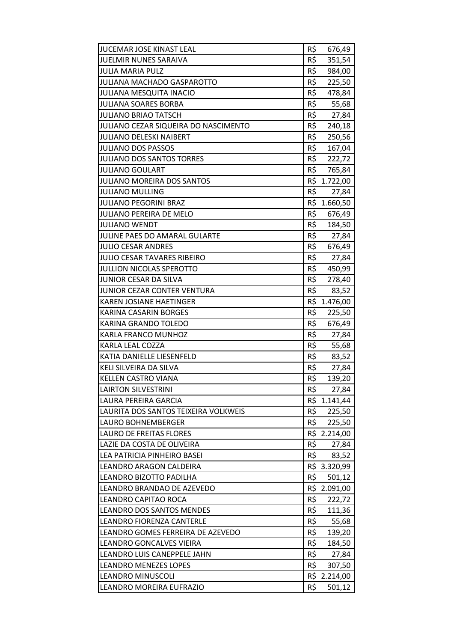| <b>JUELMIR NUNES SARAIVA</b><br>R\$<br>351,54<br>R\$<br><b>JULIA MARIA PULZ</b><br>984,00<br>R\$<br><b>JULIANA MACHADO GASPAROTTO</b><br>225,50<br>R\$<br><b>JULIANA MESQUITA INACIO</b><br>478,84<br>R\$<br>JULIANA SOARES BORBA<br>55,68<br>R\$<br><b>JULIANO BRIAO TATSCH</b><br>27,84<br>JULIANO CEZAR SIQUEIRA DO NASCIMENTO<br>R\$<br>240,18<br>R\$<br><b>JULIANO DELESKI NAIBERT</b><br>250,56<br>R\$<br><b>JULIANO DOS PASSOS</b><br>167,04<br>R\$<br>222,72<br><b>JULIANO DOS SANTOS TORRES</b><br><b>JULIANO GOULART</b><br>R\$<br>765,84<br>R\$ 1.722,00<br>JULIANO MOREIRA DOS SANTOS<br>R\$<br><b>JULIANO MULLING</b><br>27,84<br><b>JULIANO PEGORINI BRAZ</b><br>R\$ 1.660,50<br>R\$<br><b>JULIANO PEREIRA DE MELO</b><br>676,49<br>R\$<br><b>JULIANO WENDT</b><br>184,50<br>R\$<br><b>JULINE PAES DO AMARAL GULARTE</b><br>27,84<br>R\$<br><b>JULIO CESAR ANDRES</b><br>676,49<br>R\$<br><b>JULIO CESAR TAVARES RIBEIRO</b><br>27,84<br>R\$<br>JULLION NICOLAS SPEROTTO<br>450,99<br>R\$<br>JUNIOR CESAR DA SILVA<br>278,40<br>R\$<br>JUNIOR CEZAR CONTER VENTURA<br>83,52<br>R\$<br>KAREN JOSIANE HAETINGER<br>1.476,00<br>R\$<br>KARINA CASARIN BORGES<br>225,50<br>R\$<br>KARINA GRANDO TOLEDO<br>676,49<br>R\$<br>KARLA FRANCO MUNHOZ<br>27,84<br>R\$<br><b>KARLA LEAL COZZA</b><br>55,68<br>R\$<br>KATIA DANIELLE LIESENFELD<br>83,52<br>R\$<br>KELI SILVEIRA DA SILVA<br>27,84<br>R\$<br><b>KELLEN CASTRO VIANA</b><br>139,20<br><b>LAIRTON SILVESTRINI</b><br>R\$<br>27,84<br>R\$<br>LAURA PEREIRA GARCIA<br>1.141,44<br>R\$<br>LAURITA DOS SANTOS TEIXEIRA VOLKWEIS<br>225,50<br>R\$<br>LAURO BOHNEMBERGER<br>225,50<br>R\$ 2.214,00<br>LAURO DE FREITAS FLORES<br>R\$<br>LAZIE DA COSTA DE OLIVEIRA<br>27,84<br>R\$<br>LEA PATRICIA PINHEIRO BASEI<br>83,52<br>R\$ 3.320,99<br>LEANDRO ARAGON CALDEIRA<br>R\$<br>LEANDRO BIZOTTO PADILHA<br>501,12<br>R\$ 2.091,00<br>LEANDRO BRANDAO DE AZEVEDO<br>R\$<br>LEANDRO CAPITAO ROCA<br>222,72<br>R\$<br><b>LEANDRO DOS SANTOS MENDES</b><br>111,36<br>R\$<br>LEANDRO FIORENZA CANTERLE<br>55,68<br>R\$<br>LEANDRO GOMES FERREIRA DE AZEVEDO<br>139,20<br>R\$<br>LEANDRO GONCALVES VIEIRA<br>184,50<br>R\$<br>LEANDRO LUIS CANEPPELE JAHN<br>27,84<br>R\$<br><b>LEANDRO MENEZES LOPES</b><br>307,50<br>R\$ 2.214,00<br><b>LEANDRO MINUSCOLI</b><br>R\$<br>LEANDRO MOREIRA EUFRAZIO<br>501,12 | JUCEMAR JOSE KINAST LEAL | R\$ | 676,49 |
|-----------------------------------------------------------------------------------------------------------------------------------------------------------------------------------------------------------------------------------------------------------------------------------------------------------------------------------------------------------------------------------------------------------------------------------------------------------------------------------------------------------------------------------------------------------------------------------------------------------------------------------------------------------------------------------------------------------------------------------------------------------------------------------------------------------------------------------------------------------------------------------------------------------------------------------------------------------------------------------------------------------------------------------------------------------------------------------------------------------------------------------------------------------------------------------------------------------------------------------------------------------------------------------------------------------------------------------------------------------------------------------------------------------------------------------------------------------------------------------------------------------------------------------------------------------------------------------------------------------------------------------------------------------------------------------------------------------------------------------------------------------------------------------------------------------------------------------------------------------------------------------------------------------------------------------------------------------------------------------------------------------------------------------------------------------------------------------------------------------------------------------------------------------------------------------------------------------------------------------------------------------------------------------------------------------------------------------------------------------------|--------------------------|-----|--------|
|                                                                                                                                                                                                                                                                                                                                                                                                                                                                                                                                                                                                                                                                                                                                                                                                                                                                                                                                                                                                                                                                                                                                                                                                                                                                                                                                                                                                                                                                                                                                                                                                                                                                                                                                                                                                                                                                                                                                                                                                                                                                                                                                                                                                                                                                                                                                                                 |                          |     |        |
|                                                                                                                                                                                                                                                                                                                                                                                                                                                                                                                                                                                                                                                                                                                                                                                                                                                                                                                                                                                                                                                                                                                                                                                                                                                                                                                                                                                                                                                                                                                                                                                                                                                                                                                                                                                                                                                                                                                                                                                                                                                                                                                                                                                                                                                                                                                                                                 |                          |     |        |
|                                                                                                                                                                                                                                                                                                                                                                                                                                                                                                                                                                                                                                                                                                                                                                                                                                                                                                                                                                                                                                                                                                                                                                                                                                                                                                                                                                                                                                                                                                                                                                                                                                                                                                                                                                                                                                                                                                                                                                                                                                                                                                                                                                                                                                                                                                                                                                 |                          |     |        |
|                                                                                                                                                                                                                                                                                                                                                                                                                                                                                                                                                                                                                                                                                                                                                                                                                                                                                                                                                                                                                                                                                                                                                                                                                                                                                                                                                                                                                                                                                                                                                                                                                                                                                                                                                                                                                                                                                                                                                                                                                                                                                                                                                                                                                                                                                                                                                                 |                          |     |        |
|                                                                                                                                                                                                                                                                                                                                                                                                                                                                                                                                                                                                                                                                                                                                                                                                                                                                                                                                                                                                                                                                                                                                                                                                                                                                                                                                                                                                                                                                                                                                                                                                                                                                                                                                                                                                                                                                                                                                                                                                                                                                                                                                                                                                                                                                                                                                                                 |                          |     |        |
|                                                                                                                                                                                                                                                                                                                                                                                                                                                                                                                                                                                                                                                                                                                                                                                                                                                                                                                                                                                                                                                                                                                                                                                                                                                                                                                                                                                                                                                                                                                                                                                                                                                                                                                                                                                                                                                                                                                                                                                                                                                                                                                                                                                                                                                                                                                                                                 |                          |     |        |
|                                                                                                                                                                                                                                                                                                                                                                                                                                                                                                                                                                                                                                                                                                                                                                                                                                                                                                                                                                                                                                                                                                                                                                                                                                                                                                                                                                                                                                                                                                                                                                                                                                                                                                                                                                                                                                                                                                                                                                                                                                                                                                                                                                                                                                                                                                                                                                 |                          |     |        |
|                                                                                                                                                                                                                                                                                                                                                                                                                                                                                                                                                                                                                                                                                                                                                                                                                                                                                                                                                                                                                                                                                                                                                                                                                                                                                                                                                                                                                                                                                                                                                                                                                                                                                                                                                                                                                                                                                                                                                                                                                                                                                                                                                                                                                                                                                                                                                                 |                          |     |        |
|                                                                                                                                                                                                                                                                                                                                                                                                                                                                                                                                                                                                                                                                                                                                                                                                                                                                                                                                                                                                                                                                                                                                                                                                                                                                                                                                                                                                                                                                                                                                                                                                                                                                                                                                                                                                                                                                                                                                                                                                                                                                                                                                                                                                                                                                                                                                                                 |                          |     |        |
|                                                                                                                                                                                                                                                                                                                                                                                                                                                                                                                                                                                                                                                                                                                                                                                                                                                                                                                                                                                                                                                                                                                                                                                                                                                                                                                                                                                                                                                                                                                                                                                                                                                                                                                                                                                                                                                                                                                                                                                                                                                                                                                                                                                                                                                                                                                                                                 |                          |     |        |
|                                                                                                                                                                                                                                                                                                                                                                                                                                                                                                                                                                                                                                                                                                                                                                                                                                                                                                                                                                                                                                                                                                                                                                                                                                                                                                                                                                                                                                                                                                                                                                                                                                                                                                                                                                                                                                                                                                                                                                                                                                                                                                                                                                                                                                                                                                                                                                 |                          |     |        |
|                                                                                                                                                                                                                                                                                                                                                                                                                                                                                                                                                                                                                                                                                                                                                                                                                                                                                                                                                                                                                                                                                                                                                                                                                                                                                                                                                                                                                                                                                                                                                                                                                                                                                                                                                                                                                                                                                                                                                                                                                                                                                                                                                                                                                                                                                                                                                                 |                          |     |        |
|                                                                                                                                                                                                                                                                                                                                                                                                                                                                                                                                                                                                                                                                                                                                                                                                                                                                                                                                                                                                                                                                                                                                                                                                                                                                                                                                                                                                                                                                                                                                                                                                                                                                                                                                                                                                                                                                                                                                                                                                                                                                                                                                                                                                                                                                                                                                                                 |                          |     |        |
|                                                                                                                                                                                                                                                                                                                                                                                                                                                                                                                                                                                                                                                                                                                                                                                                                                                                                                                                                                                                                                                                                                                                                                                                                                                                                                                                                                                                                                                                                                                                                                                                                                                                                                                                                                                                                                                                                                                                                                                                                                                                                                                                                                                                                                                                                                                                                                 |                          |     |        |
|                                                                                                                                                                                                                                                                                                                                                                                                                                                                                                                                                                                                                                                                                                                                                                                                                                                                                                                                                                                                                                                                                                                                                                                                                                                                                                                                                                                                                                                                                                                                                                                                                                                                                                                                                                                                                                                                                                                                                                                                                                                                                                                                                                                                                                                                                                                                                                 |                          |     |        |
|                                                                                                                                                                                                                                                                                                                                                                                                                                                                                                                                                                                                                                                                                                                                                                                                                                                                                                                                                                                                                                                                                                                                                                                                                                                                                                                                                                                                                                                                                                                                                                                                                                                                                                                                                                                                                                                                                                                                                                                                                                                                                                                                                                                                                                                                                                                                                                 |                          |     |        |
|                                                                                                                                                                                                                                                                                                                                                                                                                                                                                                                                                                                                                                                                                                                                                                                                                                                                                                                                                                                                                                                                                                                                                                                                                                                                                                                                                                                                                                                                                                                                                                                                                                                                                                                                                                                                                                                                                                                                                                                                                                                                                                                                                                                                                                                                                                                                                                 |                          |     |        |
|                                                                                                                                                                                                                                                                                                                                                                                                                                                                                                                                                                                                                                                                                                                                                                                                                                                                                                                                                                                                                                                                                                                                                                                                                                                                                                                                                                                                                                                                                                                                                                                                                                                                                                                                                                                                                                                                                                                                                                                                                                                                                                                                                                                                                                                                                                                                                                 |                          |     |        |
|                                                                                                                                                                                                                                                                                                                                                                                                                                                                                                                                                                                                                                                                                                                                                                                                                                                                                                                                                                                                                                                                                                                                                                                                                                                                                                                                                                                                                                                                                                                                                                                                                                                                                                                                                                                                                                                                                                                                                                                                                                                                                                                                                                                                                                                                                                                                                                 |                          |     |        |
|                                                                                                                                                                                                                                                                                                                                                                                                                                                                                                                                                                                                                                                                                                                                                                                                                                                                                                                                                                                                                                                                                                                                                                                                                                                                                                                                                                                                                                                                                                                                                                                                                                                                                                                                                                                                                                                                                                                                                                                                                                                                                                                                                                                                                                                                                                                                                                 |                          |     |        |
|                                                                                                                                                                                                                                                                                                                                                                                                                                                                                                                                                                                                                                                                                                                                                                                                                                                                                                                                                                                                                                                                                                                                                                                                                                                                                                                                                                                                                                                                                                                                                                                                                                                                                                                                                                                                                                                                                                                                                                                                                                                                                                                                                                                                                                                                                                                                                                 |                          |     |        |
|                                                                                                                                                                                                                                                                                                                                                                                                                                                                                                                                                                                                                                                                                                                                                                                                                                                                                                                                                                                                                                                                                                                                                                                                                                                                                                                                                                                                                                                                                                                                                                                                                                                                                                                                                                                                                                                                                                                                                                                                                                                                                                                                                                                                                                                                                                                                                                 |                          |     |        |
|                                                                                                                                                                                                                                                                                                                                                                                                                                                                                                                                                                                                                                                                                                                                                                                                                                                                                                                                                                                                                                                                                                                                                                                                                                                                                                                                                                                                                                                                                                                                                                                                                                                                                                                                                                                                                                                                                                                                                                                                                                                                                                                                                                                                                                                                                                                                                                 |                          |     |        |
|                                                                                                                                                                                                                                                                                                                                                                                                                                                                                                                                                                                                                                                                                                                                                                                                                                                                                                                                                                                                                                                                                                                                                                                                                                                                                                                                                                                                                                                                                                                                                                                                                                                                                                                                                                                                                                                                                                                                                                                                                                                                                                                                                                                                                                                                                                                                                                 |                          |     |        |
|                                                                                                                                                                                                                                                                                                                                                                                                                                                                                                                                                                                                                                                                                                                                                                                                                                                                                                                                                                                                                                                                                                                                                                                                                                                                                                                                                                                                                                                                                                                                                                                                                                                                                                                                                                                                                                                                                                                                                                                                                                                                                                                                                                                                                                                                                                                                                                 |                          |     |        |
|                                                                                                                                                                                                                                                                                                                                                                                                                                                                                                                                                                                                                                                                                                                                                                                                                                                                                                                                                                                                                                                                                                                                                                                                                                                                                                                                                                                                                                                                                                                                                                                                                                                                                                                                                                                                                                                                                                                                                                                                                                                                                                                                                                                                                                                                                                                                                                 |                          |     |        |
|                                                                                                                                                                                                                                                                                                                                                                                                                                                                                                                                                                                                                                                                                                                                                                                                                                                                                                                                                                                                                                                                                                                                                                                                                                                                                                                                                                                                                                                                                                                                                                                                                                                                                                                                                                                                                                                                                                                                                                                                                                                                                                                                                                                                                                                                                                                                                                 |                          |     |        |
|                                                                                                                                                                                                                                                                                                                                                                                                                                                                                                                                                                                                                                                                                                                                                                                                                                                                                                                                                                                                                                                                                                                                                                                                                                                                                                                                                                                                                                                                                                                                                                                                                                                                                                                                                                                                                                                                                                                                                                                                                                                                                                                                                                                                                                                                                                                                                                 |                          |     |        |
|                                                                                                                                                                                                                                                                                                                                                                                                                                                                                                                                                                                                                                                                                                                                                                                                                                                                                                                                                                                                                                                                                                                                                                                                                                                                                                                                                                                                                                                                                                                                                                                                                                                                                                                                                                                                                                                                                                                                                                                                                                                                                                                                                                                                                                                                                                                                                                 |                          |     |        |
|                                                                                                                                                                                                                                                                                                                                                                                                                                                                                                                                                                                                                                                                                                                                                                                                                                                                                                                                                                                                                                                                                                                                                                                                                                                                                                                                                                                                                                                                                                                                                                                                                                                                                                                                                                                                                                                                                                                                                                                                                                                                                                                                                                                                                                                                                                                                                                 |                          |     |        |
|                                                                                                                                                                                                                                                                                                                                                                                                                                                                                                                                                                                                                                                                                                                                                                                                                                                                                                                                                                                                                                                                                                                                                                                                                                                                                                                                                                                                                                                                                                                                                                                                                                                                                                                                                                                                                                                                                                                                                                                                                                                                                                                                                                                                                                                                                                                                                                 |                          |     |        |
|                                                                                                                                                                                                                                                                                                                                                                                                                                                                                                                                                                                                                                                                                                                                                                                                                                                                                                                                                                                                                                                                                                                                                                                                                                                                                                                                                                                                                                                                                                                                                                                                                                                                                                                                                                                                                                                                                                                                                                                                                                                                                                                                                                                                                                                                                                                                                                 |                          |     |        |
|                                                                                                                                                                                                                                                                                                                                                                                                                                                                                                                                                                                                                                                                                                                                                                                                                                                                                                                                                                                                                                                                                                                                                                                                                                                                                                                                                                                                                                                                                                                                                                                                                                                                                                                                                                                                                                                                                                                                                                                                                                                                                                                                                                                                                                                                                                                                                                 |                          |     |        |
|                                                                                                                                                                                                                                                                                                                                                                                                                                                                                                                                                                                                                                                                                                                                                                                                                                                                                                                                                                                                                                                                                                                                                                                                                                                                                                                                                                                                                                                                                                                                                                                                                                                                                                                                                                                                                                                                                                                                                                                                                                                                                                                                                                                                                                                                                                                                                                 |                          |     |        |
|                                                                                                                                                                                                                                                                                                                                                                                                                                                                                                                                                                                                                                                                                                                                                                                                                                                                                                                                                                                                                                                                                                                                                                                                                                                                                                                                                                                                                                                                                                                                                                                                                                                                                                                                                                                                                                                                                                                                                                                                                                                                                                                                                                                                                                                                                                                                                                 |                          |     |        |
|                                                                                                                                                                                                                                                                                                                                                                                                                                                                                                                                                                                                                                                                                                                                                                                                                                                                                                                                                                                                                                                                                                                                                                                                                                                                                                                                                                                                                                                                                                                                                                                                                                                                                                                                                                                                                                                                                                                                                                                                                                                                                                                                                                                                                                                                                                                                                                 |                          |     |        |
|                                                                                                                                                                                                                                                                                                                                                                                                                                                                                                                                                                                                                                                                                                                                                                                                                                                                                                                                                                                                                                                                                                                                                                                                                                                                                                                                                                                                                                                                                                                                                                                                                                                                                                                                                                                                                                                                                                                                                                                                                                                                                                                                                                                                                                                                                                                                                                 |                          |     |        |
|                                                                                                                                                                                                                                                                                                                                                                                                                                                                                                                                                                                                                                                                                                                                                                                                                                                                                                                                                                                                                                                                                                                                                                                                                                                                                                                                                                                                                                                                                                                                                                                                                                                                                                                                                                                                                                                                                                                                                                                                                                                                                                                                                                                                                                                                                                                                                                 |                          |     |        |
|                                                                                                                                                                                                                                                                                                                                                                                                                                                                                                                                                                                                                                                                                                                                                                                                                                                                                                                                                                                                                                                                                                                                                                                                                                                                                                                                                                                                                                                                                                                                                                                                                                                                                                                                                                                                                                                                                                                                                                                                                                                                                                                                                                                                                                                                                                                                                                 |                          |     |        |
|                                                                                                                                                                                                                                                                                                                                                                                                                                                                                                                                                                                                                                                                                                                                                                                                                                                                                                                                                                                                                                                                                                                                                                                                                                                                                                                                                                                                                                                                                                                                                                                                                                                                                                                                                                                                                                                                                                                                                                                                                                                                                                                                                                                                                                                                                                                                                                 |                          |     |        |
|                                                                                                                                                                                                                                                                                                                                                                                                                                                                                                                                                                                                                                                                                                                                                                                                                                                                                                                                                                                                                                                                                                                                                                                                                                                                                                                                                                                                                                                                                                                                                                                                                                                                                                                                                                                                                                                                                                                                                                                                                                                                                                                                                                                                                                                                                                                                                                 |                          |     |        |
|                                                                                                                                                                                                                                                                                                                                                                                                                                                                                                                                                                                                                                                                                                                                                                                                                                                                                                                                                                                                                                                                                                                                                                                                                                                                                                                                                                                                                                                                                                                                                                                                                                                                                                                                                                                                                                                                                                                                                                                                                                                                                                                                                                                                                                                                                                                                                                 |                          |     |        |
|                                                                                                                                                                                                                                                                                                                                                                                                                                                                                                                                                                                                                                                                                                                                                                                                                                                                                                                                                                                                                                                                                                                                                                                                                                                                                                                                                                                                                                                                                                                                                                                                                                                                                                                                                                                                                                                                                                                                                                                                                                                                                                                                                                                                                                                                                                                                                                 |                          |     |        |
|                                                                                                                                                                                                                                                                                                                                                                                                                                                                                                                                                                                                                                                                                                                                                                                                                                                                                                                                                                                                                                                                                                                                                                                                                                                                                                                                                                                                                                                                                                                                                                                                                                                                                                                                                                                                                                                                                                                                                                                                                                                                                                                                                                                                                                                                                                                                                                 |                          |     |        |
|                                                                                                                                                                                                                                                                                                                                                                                                                                                                                                                                                                                                                                                                                                                                                                                                                                                                                                                                                                                                                                                                                                                                                                                                                                                                                                                                                                                                                                                                                                                                                                                                                                                                                                                                                                                                                                                                                                                                                                                                                                                                                                                                                                                                                                                                                                                                                                 |                          |     |        |
|                                                                                                                                                                                                                                                                                                                                                                                                                                                                                                                                                                                                                                                                                                                                                                                                                                                                                                                                                                                                                                                                                                                                                                                                                                                                                                                                                                                                                                                                                                                                                                                                                                                                                                                                                                                                                                                                                                                                                                                                                                                                                                                                                                                                                                                                                                                                                                 |                          |     |        |
|                                                                                                                                                                                                                                                                                                                                                                                                                                                                                                                                                                                                                                                                                                                                                                                                                                                                                                                                                                                                                                                                                                                                                                                                                                                                                                                                                                                                                                                                                                                                                                                                                                                                                                                                                                                                                                                                                                                                                                                                                                                                                                                                                                                                                                                                                                                                                                 |                          |     |        |
|                                                                                                                                                                                                                                                                                                                                                                                                                                                                                                                                                                                                                                                                                                                                                                                                                                                                                                                                                                                                                                                                                                                                                                                                                                                                                                                                                                                                                                                                                                                                                                                                                                                                                                                                                                                                                                                                                                                                                                                                                                                                                                                                                                                                                                                                                                                                                                 |                          |     |        |
|                                                                                                                                                                                                                                                                                                                                                                                                                                                                                                                                                                                                                                                                                                                                                                                                                                                                                                                                                                                                                                                                                                                                                                                                                                                                                                                                                                                                                                                                                                                                                                                                                                                                                                                                                                                                                                                                                                                                                                                                                                                                                                                                                                                                                                                                                                                                                                 |                          |     |        |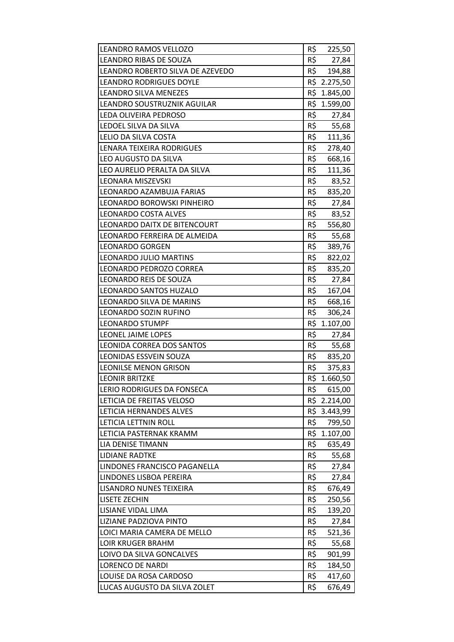| LEANDRO RAMOS VELLOZO            | R\$ | 225,50       |
|----------------------------------|-----|--------------|
| LEANDRO RIBAS DE SOUZA           | R\$ | 27,84        |
| LEANDRO ROBERTO SILVA DE AZEVEDO | R\$ | 194,88       |
| <b>LEANDRO RODRIGUES DOYLE</b>   |     | R\$ 2.275,50 |
| LEANDRO SILVA MENEZES            |     | R\$ 1.845,00 |
| LEANDRO SOUSTRUZNIK AGUILAR      |     | R\$ 1.599,00 |
| LEDA OLIVEIRA PEDROSO            | R\$ | 27,84        |
| LEDOEL SILVA DA SILVA            | R\$ | 55,68        |
| LELIO DA SILVA COSTA             | R\$ | 111,36       |
| LENARA TEIXEIRA RODRIGUES        | R\$ | 278,40       |
| LEO AUGUSTO DA SILVA             | R\$ | 668,16       |
| LEO AURELIO PERALTA DA SILVA     | R\$ | 111,36       |
| <b>LEONARA MISZEVSKI</b>         | R\$ | 83,52        |
| LEONARDO AZAMBUJA FARIAS         | R\$ | 835,20       |
| LEONARDO BOROWSKI PINHEIRO       | R\$ | 27,84        |
| <b>LEONARDO COSTA ALVES</b>      | R\$ | 83,52        |
| LEONARDO DAITX DE BITENCOURT     | R\$ | 556,80       |
| LEONARDO FERREIRA DE ALMEIDA     | R\$ | 55,68        |
| <b>LEONARDO GORGEN</b>           | R\$ | 389,76       |
| LEONARDO JULIO MARTINS           | R\$ | 822,02       |
| LEONARDO PEDROZO CORREA          | R\$ | 835,20       |
| LEONARDO REIS DE SOUZA           | R\$ | 27,84        |
| LEONARDO SANTOS HUZALO           | R\$ | 167,04       |
| LEONARDO SILVA DE MARINS         | R\$ | 668,16       |
| LEONARDO SOZIN RUFINO            | R\$ | 306,24       |
| <b>LEONARDO STUMPF</b>           |     | R\$ 1.107,00 |
| LEONEL JAIME LOPES               | R\$ | 27,84        |
| LEONIDA CORREA DOS SANTOS        | R\$ | 55,68        |
| LEONIDAS ESSVEIN SOUZA           | R\$ | 835,20       |
| <b>LEONILSE MENON GRISON</b>     | R\$ | 375,83       |
| <b>LEONIR BRITZKE</b>            | R\$ | 1.660,50     |
| LERIO RODRIGUES DA FONSECA       | R\$ | 615,00       |
| LETICIA DE FREITAS VELOSO        |     | R\$ 2.214,00 |
| LETICIA HERNANDES ALVES          |     | R\$ 3.443,99 |
| LETICIA LETTNIN ROLL             | R\$ | 799,50       |
| LETICIA PASTERNAK KRAMM          |     | R\$ 1.107,00 |
| LIA DENISE TIMANN                | R\$ | 635,49       |
| <b>LIDIANE RADTKE</b>            | R\$ | 55,68        |
| LINDONES FRANCISCO PAGANELLA     | R\$ | 27,84        |
| LINDONES LISBOA PEREIRA          | R\$ | 27,84        |
| LISANDRO NUNES TEIXEIRA          | R\$ | 676,49       |
| <b>LISETE ZECHIN</b>             | R\$ | 250,56       |
| LISIANE VIDAL LIMA               | R\$ | 139,20       |
| LIZIANE PADZIOVA PINTO           | R\$ | 27,84        |
| LOICI MARIA CAMERA DE MELLO      | R\$ | 521,36       |
| <b>LOIR KRUGER BRAHM</b>         | R\$ | 55,68        |
| LOIVO DA SILVA GONCALVES         | R\$ | 901,99       |
| <b>LORENCO DE NARDI</b>          | R\$ | 184,50       |
| LOUISE DA ROSA CARDOSO           | R\$ | 417,60       |
| LUCAS AUGUSTO DA SILVA ZOLET     | R\$ | 676,49       |
|                                  |     |              |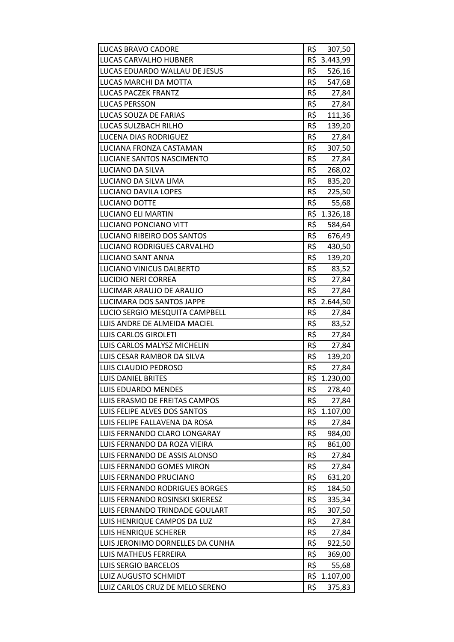| <b>LUCAS BRAVO CADORE</b>        | R\$ | 307,50       |
|----------------------------------|-----|--------------|
| LUCAS CARVALHO HUBNER            |     | R\$ 3.443,99 |
| LUCAS EDUARDO WALLAU DE JESUS    | R\$ | 526,16       |
| LUCAS MARCHI DA MOTTA            | R\$ | 547,68       |
| <b>LUCAS PACZEK FRANTZ</b>       | R\$ | 27,84        |
| <b>LUCAS PERSSON</b>             | R\$ | 27,84        |
| LUCAS SOUZA DE FARIAS            | R\$ | 111,36       |
| LUCAS SULZBACH RILHO             | R\$ | 139,20       |
| <b>LUCENA DIAS RODRIGUEZ</b>     | R\$ | 27,84        |
| LUCIANA FRONZA CASTAMAN          | R\$ | 307,50       |
| LUCIANE SANTOS NASCIMENTO        | R\$ | 27,84        |
| LUCIANO DA SILVA                 | R\$ | 268,02       |
| LUCIANO DA SILVA LIMA            | R\$ | 835,20       |
| LUCIANO DAVILA LOPES             | R\$ | 225,50       |
| LUCIANO DOTTE                    | R\$ | 55,68        |
| <b>LUCIANO ELI MARTIN</b>        |     | R\$ 1.326,18 |
| LUCIANO PONCIANO VITT            | R\$ | 584,64       |
| LUCIANO RIBEIRO DOS SANTOS       | R\$ | 676,49       |
| LUCIANO RODRIGUES CARVALHO       | R\$ | 430,50       |
| LUCIANO SANT ANNA                | R\$ | 139,20       |
| LUCIANO VINICUS DALBERTO         |     | R\$ 83,52    |
| <b>LUCIDIO NERI CORREA</b>       | R\$ | 27,84        |
| LUCIMAR ARAUJO DE ARAUJO         | R\$ | 27,84        |
| LUCIMARA DOS SANTOS JAPPE        |     | R\$ 2.644,50 |
| LUCIO SERGIO MESQUITA CAMPBELL   | R\$ | 27,84        |
| LUIS ANDRE DE ALMEIDA MACIEL     | R\$ | 83,52        |
| <b>LUIS CARLOS GIROLETI</b>      | R\$ | 27,84        |
| LUIS CARLOS MALYSZ MICHELIN      | R\$ | 27,84        |
| LUIS CESAR RAMBOR DA SILVA       | R\$ | 139,20       |
| LUIS CLAUDIO PEDROSO             | R\$ | 27,84        |
| <b>LUIS DANIEL BRITES</b>        |     | R\$ 1.230,00 |
| <b>LUIS EDUARDO MENDES</b>       | R\$ | 278,40       |
| LUIS ERASMO DE FREITAS CAMPOS    | R\$ | 27,84        |
| LUIS FELIPE ALVES DOS SANTOS     |     | R\$ 1.107,00 |
| LUIS FELIPE FALLAVENA DA ROSA    | R\$ | 27,84        |
| LUIS FERNANDO CLARO LONGARAY     | R\$ | 984,00       |
| LUIS FERNANDO DA ROZA VIEIRA     | R\$ | 861,00       |
| LUIS FERNANDO DE ASSIS ALONSO    | R\$ | 27,84        |
| LUIS FERNANDO GOMES MIRON        | R\$ | 27,84        |
| LUIS FERNANDO PRUCIANO           | R\$ | 631,20       |
| LUIS FERNANDO RODRIGUES BORGES   | R\$ | 184,50       |
| LUIS FERNANDO ROSINSKI SKIERESZ  | R\$ | 335,34       |
| LUIS FERNANDO TRINDADE GOULART   | R\$ | 307,50       |
| LUIS HENRIQUE CAMPOS DA LUZ      | R\$ | 27,84        |
| <b>LUIS HENRIQUE SCHERER</b>     | R\$ | 27,84        |
| LUIS JERONIMO DORNELLES DA CUNHA | R\$ | 922,50       |
| LUIS MATHEUS FERREIRA            | R\$ | 369,00       |
| LUIS SERGIO BARCELOS             | R\$ | 55,68        |
| LUIZ AUGUSTO SCHMIDT             |     | R\$ 1.107,00 |
| LUIZ CARLOS CRUZ DE MELO SERENO  | R\$ | 375,83       |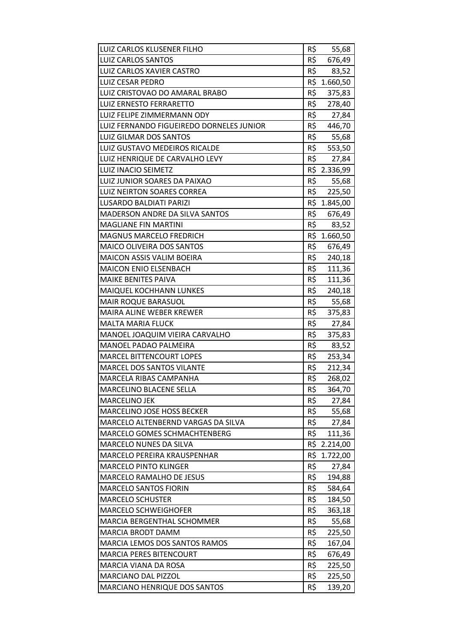| LUIZ CARLOS KLUSENER FILHO               | R\$ | 55,68        |
|------------------------------------------|-----|--------------|
| <b>LUIZ CARLOS SANTOS</b>                | R\$ | 676,49       |
| LUIZ CARLOS XAVIER CASTRO                | R\$ | 83,52        |
| <b>LUIZ CESAR PEDRO</b>                  | R\$ | 1.660,50     |
| LUIZ CRISTOVAO DO AMARAL BRABO           | R\$ | 375,83       |
| LUIZ ERNESTO FERRARETTO                  | R\$ | 278,40       |
| LUIZ FELIPE ZIMMERMANN ODY               | R\$ | 27,84        |
| LUIZ FERNANDO FIGUEIREDO DORNELES JUNIOR | R\$ | 446,70       |
| <b>LUIZ GILMAR DOS SANTOS</b>            | R\$ | 55,68        |
| LUIZ GUSTAVO MEDEIROS RICALDE            | R\$ | 553,50       |
| LUIZ HENRIQUE DE CARVALHO LEVY           | R\$ | 27,84        |
| LUIZ INACIO SEIMETZ                      |     | R\$ 2.336,99 |
| LUIZ JUNIOR SOARES DA PAIXAO             | R\$ | 55,68        |
| LUIZ NEIRTON SOARES CORREA               | R\$ | 225,50       |
| LUSARDO BALDIATI PARIZI                  |     | R\$ 1.845,00 |
| <b>MADERSON ANDRE DA SILVA SANTOS</b>    | R\$ | 676,49       |
| <b>MAGLIANE FIN MARTINI</b>              | R\$ | 83,52        |
| <b>MAGNUS MARCELO FREDRICH</b>           |     | R\$ 1.660,50 |
| <b>MAICO OLIVEIRA DOS SANTOS</b>         | R\$ | 676,49       |
| <b>MAICON ASSIS VALIM BOEIRA</b>         | R\$ | 240,18       |
| <b>MAICON ENIO ELSENBACH</b>             | R\$ | 111,36       |
| <b>MAIKE BENITES PAIVA</b>               | R\$ | 111,36       |
| MAIQUEL KOCHHANN LUNKES                  | R\$ | 240,18       |
| <b>MAIR ROQUE BARASUOL</b>               | R\$ | 55,68        |
| MAIRA ALINE WEBER KREWER                 | R\$ | 375,83       |
| <b>MALTA MARIA FLUCK</b>                 | R\$ | 27,84        |
| MANOEL JOAQUIM VIEIRA CARVALHO           | R\$ | 375,83       |
| MANOEL PADAO PALMEIRA                    | R\$ | 83,52        |
| <b>MARCEL BITTENCOURT LOPES</b>          | R\$ | 253,34       |
| MARCEL DOS SANTOS VILANTE                | R\$ | 212,34       |
| MARCELA RIBAS CAMPANHA                   | R\$ | 268,02       |
| MARCELINO BLACENE SELLA                  | R\$ | 364,70       |
| <b>MARCELINO JEK</b>                     | R\$ | 27,84        |
| <b>MARCELINO JOSE HOSS BECKER</b>        | R\$ | 55,68        |
| MARCELO ALTENBERND VARGAS DA SILVA       | R\$ | 27,84        |
| MARCELO GOMES SCHMACHTENBERG             | R\$ | 111,36       |
| MARCELO NUNES DA SILVA                   |     | R\$ 2.214,00 |
| MARCELO PEREIRA KRAUSPENHAR              | R\$ | 1.722,00     |
| <b>MARCELO PINTO KLINGER</b>             | R\$ | 27,84        |
| MARCELO RAMALHO DE JESUS                 | R\$ | 194,88       |
| <b>MARCELO SANTOS FIORIN</b>             | R\$ | 584,64       |
| <b>MARCELO SCHUSTER</b>                  | R\$ | 184,50       |
| <b>MARCELO SCHWEIGHOFER</b>              | R\$ | 363,18       |
| MARCIA BERGENTHAL SCHOMMER               | R\$ | 55,68        |
| MARCIA BRODT DAMM                        | R\$ | 225,50       |
| MARCIA LEMOS DOS SANTOS RAMOS            | R\$ | 167,04       |
| <b>MARCIA PERES BITENCOURT</b>           | R\$ | 676,49       |
| MARCIA VIANA DA ROSA                     | R\$ | 225,50       |
| MARCIANO DAL PIZZOL                      | R\$ | 225,50       |
| <b>MARCIANO HENRIQUE DOS SANTOS</b>      | R\$ | 139,20       |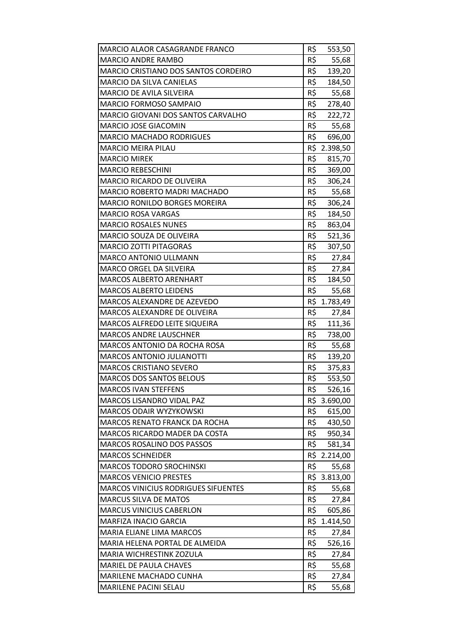| <b>MARCIO ALAOR CASAGRANDE FRANCO</b>      | R\$ | 553,50       |
|--------------------------------------------|-----|--------------|
| <b>MARCIO ANDRE RAMBO</b>                  | R\$ | 55,68        |
| MARCIO CRISTIANO DOS SANTOS CORDEIRO       | R\$ | 139,20       |
| <b>MARCIO DA SILVA CANIELAS</b>            | R\$ | 184,50       |
| MARCIO DE AVILA SILVEIRA                   | R\$ | 55,68        |
| MARCIO FORMOSO SAMPAIO                     | R\$ | 278,40       |
| MARCIO GIOVANI DOS SANTOS CARVALHO         | R\$ | 222,72       |
| MARCIO JOSE GIACOMIN                       | R\$ | 55,68        |
| <b>MARCIO MACHADO RODRIGUES</b>            | R\$ | 696,00       |
| <b>MARCIO MEIRA PILAU</b>                  | R\$ | 2.398,50     |
| <b>MARCIO MIREK</b>                        | R\$ | 815,70       |
| <b>MARCIO REBESCHINI</b>                   | R\$ | 369,00       |
| MARCIO RICARDO DE OLIVEIRA                 | R\$ | 306,24       |
| MARCIO ROBERTO MADRI MACHADO               | R\$ | 55,68        |
| MARCIO RONILDO BORGES MOREIRA              | R\$ | 306,24       |
| <b>MARCIO ROSA VARGAS</b>                  | R\$ | 184,50       |
| <b>MARCIO ROSALES NUNES</b>                | R\$ | 863,04       |
| MARCIO SOUZA DE OLIVEIRA                   | R\$ | 521,36       |
| <b>MARCIO ZOTTI PITAGORAS</b>              | R\$ | 307,50       |
| <b>MARCO ANTONIO ULLMANN</b>               | R\$ | 27,84        |
| MARCO ORGEL DA SILVEIRA                    | R\$ | 27,84        |
| <b>MARCOS ALBERTO ARENHART</b>             | R\$ | 184,50       |
| <b>MARCOS ALBERTO LEIDENS</b>              | R\$ | 55,68        |
| MARCOS ALEXANDRE DE AZEVEDO                | R\$ | 1.783,49     |
| MARCOS ALEXANDRE DE OLIVEIRA               | R\$ | 27,84        |
| MARCOS ALFREDO LEITE SIQUEIRA              | R\$ | 111,36       |
| <b>MARCOS ANDRE LAUSCHNER</b>              | R\$ | 738,00       |
| MARCOS ANTONIO DA ROCHA ROSA               | R\$ | 55,68        |
| <b>MARCOS ANTONIO JULIANOTTI</b>           | R\$ | 139,20       |
| MARCOS CRISTIANO SEVERO                    | R\$ | 375,83       |
| <b>MARCOS DOS SANTOS BELOUS</b>            | R\$ | 553,50       |
| <b>MARCOS IVAN STEFFENS</b>                | R\$ | 526,16       |
| <b>MARCOS LISANDRO VIDAL PAZ</b>           |     | R\$ 3.690,00 |
| MARCOS ODAIR WYZYKOWSKI                    | R\$ | 615,00       |
| <b>MARCOS RENATO FRANCK DA ROCHA</b>       | R\$ | 430,50       |
| MARCOS RICARDO MADER DA COSTA              | R\$ | 950,34       |
| <b>MARCOS ROSALINO DOS PASSOS</b>          | R\$ | 581,34       |
| <b>MARCOS SCHNEIDER</b>                    |     | R\$ 2.214,00 |
| <b>MARCOS TODORO SROCHINSKI</b>            | R\$ | 55,68        |
| <b>MARCOS VENICIO PRESTES</b>              | R\$ | 3.813,00     |
| <b>MARCOS VINICIUS RODRIGUES SIFUENTES</b> | R\$ | 55,68        |
| <b>MARCUS SILVA DE MATOS</b>               | R\$ | 27,84        |
| <b>MARCUS VINICIUS CABERLON</b>            | R\$ | 605,86       |
| <b>MARFIZA INACIO GARCIA</b>               | R\$ | 1.414,50     |
| MARIA ELIANE LIMA MARCOS                   | R\$ | 27,84        |
| MARIA HELENA PORTAL DE ALMEIDA             | R\$ | 526,16       |
| MARIA WICHRESTINK ZOZULA                   | R\$ | 27,84        |
| MARIEL DE PAULA CHAVES                     | R\$ | 55,68        |
| MARILENE MACHADO CUNHA                     | R\$ | 27,84        |
| <b>MARILENE PACINI SELAU</b>               | R\$ | 55,68        |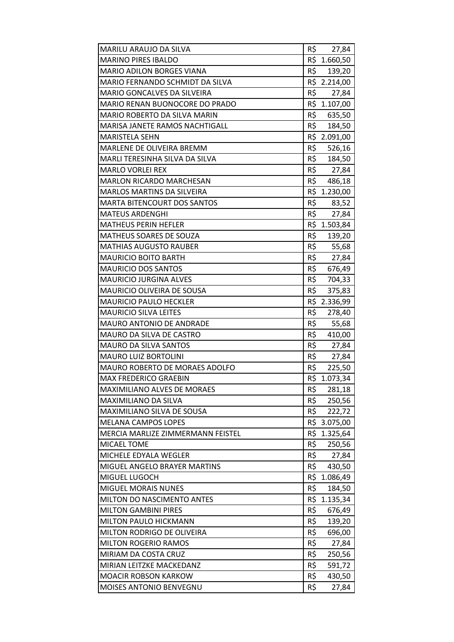| MARILU ARAUJO DA SILVA             | R\$ | 27,84        |
|------------------------------------|-----|--------------|
| <b>MARINO PIRES IBALDO</b>         |     | R\$ 1.660,50 |
| <b>MARIO ADILON BORGES VIANA</b>   | R\$ | 139,20       |
| MARIO FERNANDO SCHMIDT DA SILVA    |     | R\$ 2.214,00 |
| MARIO GONCALVES DA SILVEIRA        | R\$ | 27,84        |
| MARIO RENAN BUONOCORE DO PRADO     |     | R\$ 1.107,00 |
| MARIO ROBERTO DA SILVA MARIN       |     | R\$ 635,50   |
| MARISA JANETE RAMOS NACHTIGALL     | R\$ | 184,50       |
| <b>MARISTELA SEHN</b>              | R\$ | 2.091,00     |
| MARLENE DE OLIVEIRA BREMM          | R\$ | 526,16       |
| MARLI TERESINHA SILVA DA SILVA     |     | R\$ 184,50   |
| <b>MARLO VORLEI REX</b>            |     | R\$ 27,84    |
| MARLON RICARDO MARCHESAN           | R\$ | 486,18       |
| <b>MARLOS MARTINS DA SILVEIRA</b>  | R\$ | 1.230,00     |
| <b>MARTA BITENCOURT DOS SANTOS</b> | R\$ | 83,52        |
| <b>MATEUS ARDENGHI</b>             | R\$ | 27,84        |
| <b>MATHEUS PERIN HEFLER</b>        |     | R\$ 1.503,84 |
| MATHEUS SOARES DE SOUZA            | R\$ | 139,20       |
| <b>MATHIAS AUGUSTO RAUBER</b>      | R\$ | 55,68        |
| <b>MAURICIO BOITO BARTH</b>        | R\$ | 27,84        |
| <b>MAURICIO DOS SANTOS</b>         | R\$ | 676,49       |
| <b>MAURICIO JURGINA ALVES</b>      |     | R\$ 704,33   |
| MAURICIO OLIVEIRA DE SOUSA         | R\$ | 375,83       |
| <b>MAURICIO PAULO HECKLER</b>      | R\$ | 2.336,99     |
| <b>MAURICIO SILVA LEITES</b>       | R\$ | 278,40       |
| MAURO ANTONIO DE ANDRADE           | R\$ | 55,68        |
| MAURO DA SILVA DE CASTRO           | R\$ | 410,00       |
| <b>MAURO DA SILVA SANTOS</b>       | R\$ | 27,84        |
| <b>MAURO LUIZ BORTOLINI</b>        | R\$ | 27,84        |
| MAURO ROBERTO DE MORAES ADOLFO     | R\$ | 225,50       |
| <b>MAX FREDERICO GRAEBIN</b>       | R\$ | 1.073,34     |
| MAXIMILIANO ALVES DE MORAES        | R\$ | 281,18       |
| MAXIMILIANO DA SILVA               | R\$ | 250,56       |
| MAXIMILIANO SILVA DE SOUSA         | R\$ | 222,72       |
| <b>MELANA CAMPOS LOPES</b>         | R\$ | 3.075,00     |
| MERCIA MARLIZE ZIMMERMANN FEISTEL  | R\$ | 1.325,64     |
| <b>MICAEL TOME</b>                 | R\$ | 250,56       |
| MICHELE EDYALA WEGLER              | R\$ | 27,84        |
| MIGUEL ANGELO BRAYER MARTINS       | R\$ | 430,50       |
| MIGUEL LUGOCH                      | R\$ | 1.086,49     |
| <b>MIGUEL MORAIS NUNES</b>         | R\$ | 184,50       |
| MILTON DO NASCIMENTO ANTES         | R\$ | 1.135,34     |
| <b>MILTON GAMBINI PIRES</b>        | R\$ | 676,49       |
| MILTON PAULO HICKMANN              | R\$ | 139,20       |
| MILTON RODRIGO DE OLIVEIRA         | R\$ | 696,00       |
| <b>MILTON ROGERIO RAMOS</b>        | R\$ | 27,84        |
| MIRIAM DA COSTA CRUZ               | R\$ | 250,56       |
| MIRIAN LEITZKE MACKEDANZ           | R\$ | 591,72       |
| <b>MOACIR ROBSON KARKOW</b>        | R\$ | 430,50       |
| MOISES ANTONIO BENVEGNU            | R\$ | 27,84        |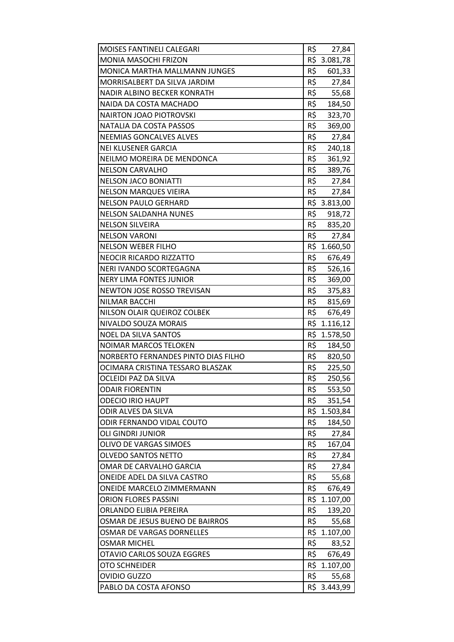| MOISES FANTINELI CALEGARI            | R\$ | 27,84        |
|--------------------------------------|-----|--------------|
| MONIA MASOCHI FRIZON                 |     | R\$ 3.081,78 |
| <b>MONICA MARTHA MALLMANN JUNGES</b> | R\$ | 601,33       |
| MORRISALBERT DA SILVA JARDIM         | R\$ | 27,84        |
| NADIR ALBINO BECKER KONRATH          | R\$ | 55,68        |
| NAIDA DA COSTA MACHADO               | R\$ | 184,50       |
| <b>NAIRTON JOAO PIOTROVSKI</b>       | R\$ | 323,70       |
| NATALIA DA COSTA PASSOS              | R\$ | 369,00       |
| <b>NEEMIAS GONCALVES ALVES</b>       | R\$ | 27,84        |
| <b>NEI KLUSENER GARCIA</b>           | R\$ | 240,18       |
| NEILMO MOREIRA DE MENDONCA           | R\$ | 361,92       |
| <b>NELSON CARVALHO</b>               | R\$ | 389,76       |
| <b>NELSON JACO BONIATTI</b>          | R\$ | 27,84        |
| <b>NELSON MARQUES VIEIRA</b>         | R\$ | 27,84        |
| <b>NELSON PAULO GERHARD</b>          |     | R\$ 3.813,00 |
| <b>NELSON SALDANHA NUNES</b>         | R\$ | 918,72       |
| <b>NELSON SILVEIRA</b>               | R\$ | 835,20       |
| <b>NELSON VARONI</b>                 | R\$ | 27,84        |
| <b>NELSON WEBER FILHO</b>            |     | R\$ 1.660,50 |
| <b>NEOCIR RICARDO RIZZATTO</b>       | R\$ | 676,49       |
| NERI IVANDO SCORTEGAGNA              | R\$ | 526,16       |
| <b>NERY LIMA FONTES JUNIOR</b>       | R\$ | 369,00       |
| NEWTON JOSE ROSSO TREVISAN           | R\$ | 375,83       |
| <b>NILMAR BACCHI</b>                 | R\$ | 815,69       |
| NILSON OLAIR QUEIROZ COLBEK          | R\$ | 676,49       |
| NIVALDO SOUZA MORAIS                 |     | R\$ 1.116,12 |
| <b>NOEL DA SILVA SANTOS</b>          |     | R\$ 1.578,50 |
| <b>NOIMAR MARCOS TELOKEN</b>         | R\$ | 184,50       |
| NORBERTO FERNANDES PINTO DIAS FILHO  | R\$ | 820,50       |
| OCIMARA CRISTINA TESSARO BLASZAK     | R\$ | 225,50       |
| OCLEIDI PAZ DA SILVA                 | R\$ | 250,56       |
| <b>ODAIR FIORENTIN</b>               | R\$ | 553,50       |
| <b>ODECIO IRIO HAUPT</b>             | R\$ | 351,54       |
| ODIR ALVES DA SILVA                  |     | R\$ 1.503,84 |
| ODIR FERNANDO VIDAL COUTO            | R\$ | 184,50       |
| <b>OLI GINDRI JUNIOR</b>             | R\$ | 27,84        |
| OLIVO DE VARGAS SIMOES               | R\$ | 167,04       |
| <b>OLVEDO SANTOS NETTO</b>           | R\$ | 27,84        |
| OMAR DE CARVALHO GARCIA              | R\$ | 27,84        |
| ONEIDE ADEL DA SILVA CASTRO          | R\$ | 55,68        |
| <b>ONEIDE MARCELO ZIMMERMANN</b>     | R\$ | 676,49       |
| <b>ORION FLORES PASSINI</b>          |     | R\$ 1.107,00 |
| ORLANDO ELIBIA PEREIRA               | R\$ | 139,20       |
| OSMAR DE JESUS BUENO DE BAIRROS      | R\$ | 55,68        |
| OSMAR DE VARGAS DORNELLES            |     | R\$ 1.107,00 |
| <b>OSMAR MICHEL</b>                  | R\$ | 83,52        |
| <b>OTAVIO CARLOS SOUZA EGGRES</b>    | R\$ | 676,49       |
| <b>OTO SCHNEIDER</b>                 |     | R\$ 1.107,00 |
| <b>OVIDIO GUZZO</b>                  | R\$ | 55,68        |
| PABLO DA COSTA AFONSO                | R\$ | 3.443,99     |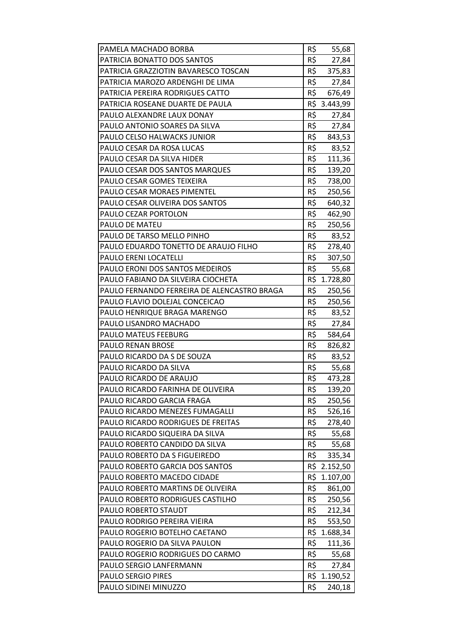| PAMELA MACHADO BORBA                        | R\$ | 55,68        |
|---------------------------------------------|-----|--------------|
| PATRICIA BONATTO DOS SANTOS                 | R\$ | 27,84        |
| PATRICIA GRAZZIOTIN BAVARESCO TOSCAN        | R\$ | 375,83       |
| PATRICIA MAROZO ARDENGHI DE LIMA            | R\$ | 27,84        |
| PATRICIA PEREIRA RODRIGUES CATTO            | R\$ | 676,49       |
| PATRICIA ROSEANE DUARTE DE PAULA            |     | R\$ 3.443,99 |
| PAULO ALEXANDRE LAUX DONAY                  | R\$ | 27,84        |
| PAULO ANTONIO SOARES DA SILVA               | R\$ | 27,84        |
| PAULO CELSO HALWACKS JUNIOR                 | R\$ | 843,53       |
| PAULO CESAR DA ROSA LUCAS                   | R\$ | 83,52        |
| PAULO CESAR DA SILVA HIDER                  | R\$ | 111,36       |
| PAULO CESAR DOS SANTOS MARQUES              | R\$ | 139,20       |
| PAULO CESAR GOMES TEIXEIRA                  | R\$ | 738,00       |
| PAULO CESAR MORAES PIMENTEL                 | R\$ | 250,56       |
| PAULO CESAR OLIVEIRA DOS SANTOS             | R\$ | 640,32       |
| PAULO CEZAR PORTOLON                        | R\$ | 462,90       |
| PAULO DE MATEU                              | R\$ | 250,56       |
| PAULO DE TARSO MELLO PINHO                  | R\$ | 83,52        |
| PAULO EDUARDO TONETTO DE ARAUJO FILHO       | R\$ | 278,40       |
| PAULO ERENI LOCATELLI                       | R\$ | 307,50       |
| PAULO ERONI DOS SANTOS MEDEIROS             |     | R\$ 55,68    |
| PAULO FABIANO DA SILVEIRA CIOCHETA          |     | R\$ 1.728,80 |
| PAULO FERNANDO FERREIRA DE ALENCASTRO BRAGA | R\$ | 250,56       |
| PAULO FLAVIO DOLEJAL CONCEICAO              | R\$ | 250,56       |
| PAULO HENRIQUE BRAGA MARENGO                | R\$ | 83,52        |
| PAULO LISANDRO MACHADO                      | R\$ | 27,84        |
| PAULO MATEUS FEEBURG                        | R\$ | 584,64       |
| PAULO RENAN BROSE                           | R\$ | 826,82       |
| PAULO RICARDO DA S DE SOUZA                 | R\$ | 83,52        |
| PAULO RICARDO DA SILVA                      | R\$ | 55,68        |
| PAULO RICARDO DE ARAUJO                     | R\$ | 473,28       |
| PAULO RICARDO FARINHA DE OLIVEIRA           | R\$ | 139,20       |
| PAULO RICARDO GARCIA FRAGA                  | R\$ | 250,56       |
| PAULO RICARDO MENEZES FUMAGALLI             | R\$ | 526,16       |
| PAULO RICARDO RODRIGUES DE FREITAS          | R\$ | 278,40       |
| PAULO RICARDO SIQUEIRA DA SILVA             | R\$ | 55,68        |
| PAULO ROBERTO CANDIDO DA SILVA              | R\$ | 55,68        |
| PAULO ROBERTO DA S FIGUEIREDO               | R\$ | 335,34       |
| PAULO ROBERTO GARCIA DOS SANTOS             |     | R\$ 2.152,50 |
| PAULO ROBERTO MACEDO CIDADE                 | R\$ | 1.107,00     |
| PAULO ROBERTO MARTINS DE OLIVEIRA           | R\$ | 861,00       |
| PAULO ROBERTO RODRIGUES CASTILHO            | R\$ | 250,56       |
| PAULO ROBERTO STAUDT                        | R\$ | 212,34       |
| PAULO RODRIGO PEREIRA VIEIRA                | R\$ | 553,50       |
| PAULO ROGERIO BOTELHO CAETANO               | R\$ | 1.688,34     |
| PAULO ROGERIO DA SILVA PAULON               | R\$ | 111,36       |
| PAULO ROGERIO RODRIGUES DO CARMO            | R\$ | 55,68        |
| PAULO SERGIO LANFERMANN                     | R\$ | 27,84        |
| <b>PAULO SERGIO PIRES</b>                   |     | R\$ 1.190,52 |
| PAULO SIDINEI MINUZZO                       | R\$ | 240,18       |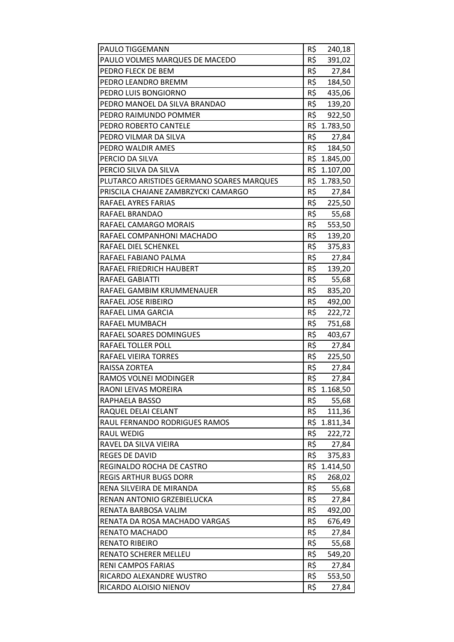| PAULO TIGGEMANN                           | R\$        | 240,18       |
|-------------------------------------------|------------|--------------|
| PAULO VOLMES MARQUES DE MACEDO            | R\$        | 391,02       |
| PEDRO FLECK DE BEM                        | R\$        | 27,84        |
| PEDRO LEANDRO BREMM                       | R\$        | 184,50       |
| PEDRO LUIS BONGIORNO                      | R\$        | 435,06       |
| PEDRO MANOEL DA SILVA BRANDAO             | R\$        | 139,20       |
| PEDRO RAIMUNDO POMMER                     |            | R\$ 922,50   |
| PEDRO ROBERTO CANTELE                     |            | R\$ 1.783,50 |
| PEDRO VILMAR DA SILVA                     | R\$        | 27,84        |
| PEDRO WALDIR AMES                         | R\$        | 184,50       |
| PERCIO DA SILVA                           |            | R\$ 1.845,00 |
| PERCIO SILVA DA SILVA                     |            | R\$ 1.107,00 |
| PLUTARCO ARISTIDES GERMANO SOARES MARQUES |            | R\$ 1.783,50 |
| PRISCILA CHAIANE ZAMBRZYCKI CAMARGO       | R\$        | 27,84        |
| RAFAEL AYRES FARIAS                       | R\$        | 225,50       |
| RAFAEL BRANDAO                            | $R\hat{S}$ | 55,68        |
| RAFAEL CAMARGO MORAIS                     | R\$        | 553,50       |
| RAFAEL COMPANHONI MACHADO                 | R\$        | 139,20       |
| RAFAEL DIEL SCHENKEL                      | R\$        | 375,83       |
| RAFAEL FABIANO PALMA                      | R\$        | 27,84        |
| RAFAEL FRIEDRICH HAUBERT                  | R\$        | 139,20       |
| RAFAEL GABIATTI                           | R\$        | 55,68        |
| RAFAEL GAMBIM KRUMMENAUER                 | R\$        | 835,20       |
| RAFAEL JOSE RIBEIRO                       | R\$        | 492,00       |
| RAFAEL LIMA GARCIA                        | R\$        | 222,72       |
| RAFAEL MUMBACH                            | R\$        | 751,68       |
| RAFAEL SOARES DOMINGUES                   | R\$        | 403,67       |
| <b>RAFAEL TOLLER POLL</b>                 | R\$        | 27,84        |
| RAFAEL VIEIRA TORRES                      | R\$        | 225,50       |
| RAISSA ZORTEA                             | R\$        | 27,84        |
| RAMOS VOLNEI MODINGER                     | R\$        | 27,84        |
| RAONI LEIVAS MOREIRA                      | R\$        | 1.168,50     |
| RAPHAELA BASSO                            | R\$        | 55,68        |
| RAQUEL DELAI CELANT                       | R\$        | 111,36       |
| RAUL FERNANDO RODRIGUES RAMOS             | R\$        | 1.811,34     |
| <b>RAUL WEDIG</b>                         | R\$        | 222,72       |
| RAVEL DA SILVA VIEIRA                     | R\$        | 27,84        |
| <b>REGES DE DAVID</b>                     | R\$        | 375,83       |
| REGINALDO ROCHA DE CASTRO                 |            | R\$ 1.414,50 |
| <b>REGIS ARTHUR BUGS DORR</b>             | R\$        | 268,02       |
| RENA SILVEIRA DE MIRANDA                  | R\$        | 55,68        |
| RENAN ANTONIO GRZEBIELUCKA                | R\$        | 27,84        |
| RENATA BARBOSA VALIM                      | R\$        | 492,00       |
| RENATA DA ROSA MACHADO VARGAS             | R\$        | 676,49       |
| RENATO MACHADO                            | R\$        | 27,84        |
| <b>RENATO RIBEIRO</b>                     | R\$        | 55,68        |
| RENATO SCHERER MELLEU                     | R\$        | 549,20       |
| RENI CAMPOS FARIAS                        | R\$        | 27,84        |
| RICARDO ALEXANDRE WUSTRO                  | R\$        | 553,50       |
| RICARDO ALOISIO NIENOV                    | R\$        | 27,84        |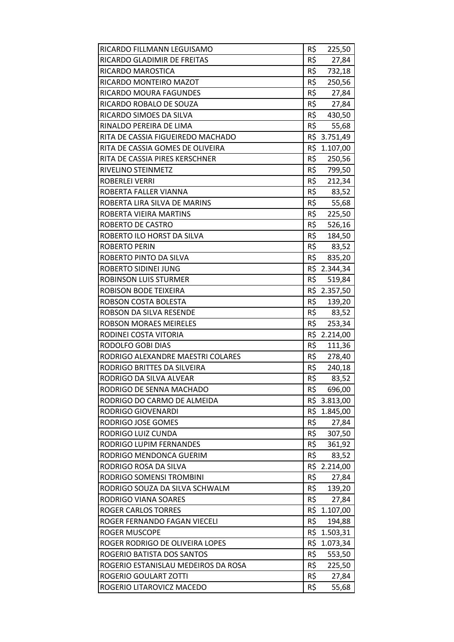| RICARDO FILLMANN LEGUISAMO          | R\$ | 225,50       |
|-------------------------------------|-----|--------------|
| RICARDO GLADIMIR DE FREITAS         | R\$ | 27,84        |
| RICARDO MAROSTICA                   | R\$ | 732,18       |
| RICARDO MONTEIRO MAZOT              | R\$ | 250,56       |
| RICARDO MOURA FAGUNDES              | R\$ | 27,84        |
| RICARDO ROBALO DE SOUZA             | R\$ | 27,84        |
| RICARDO SIMOES DA SILVA             |     | R\$ 430,50   |
| RINALDO PEREIRA DE LIMA             | R\$ | 55,68        |
| RITA DE CASSIA FIGUEIREDO MACHADO   |     | R\$ 3.751,49 |
| RITA DE CASSIA GOMES DE OLIVEIRA    | R\$ | 1.107,00     |
| RITA DE CASSIA PIRES KERSCHNER      | R\$ | 250,56       |
| RIVELINO STEINMETZ                  | R\$ | 799,50       |
| ROBERLEI VERRI                      | R\$ | 212,34       |
| ROBERTA FALLER VIANNA               | R\$ | 83,52        |
| ROBERTA LIRA SILVA DE MARINS        | R\$ | 55,68        |
| ROBERTA VIEIRA MARTINS              | R\$ | 225,50       |
| ROBERTO DE CASTRO                   | R\$ | 526,16       |
| ROBERTO ILO HORST DA SILVA          | R\$ | 184,50       |
| <b>ROBERTO PERIN</b>                | R\$ | 83,52        |
| ROBERTO PINTO DA SILVA              | R\$ | 835,20       |
| ROBERTO SIDINEI JUNG                |     | R\$ 2.344,34 |
| ROBINSON LUIS STURMER               |     | R\$ 519,84   |
| ROBISON BODE TEIXEIRA               |     | R\$ 2.357,50 |
| ROBSON COSTA BOLESTA                | R\$ | 139,20       |
| ROBSON DA SILVA RESENDE             | R\$ | 83,52        |
| <b>ROBSON MORAES MEIRELES</b>       | R\$ | 253,34       |
| RODINEI COSTA VITORIA               |     | R\$ 2.214,00 |
| RODOLFO GOBI DIAS                   | R\$ | 111,36       |
| RODRIGO ALEXANDRE MAESTRI COLARES   | R\$ | 278,40       |
| RODRIGO BRITTES DA SILVEIRA         | R\$ | 240,18       |
| RODRIGO DA SILVA ALVEAR             | R\$ | 83,52        |
| RODRIGO DE SENNA MACHADO            | R\$ | 696,00       |
| RODRIGO DO CARMO DE ALMEIDA         |     | R\$ 3.813,00 |
| <b>RODRIGO GIOVENARDI</b>           | R\$ | 1.845,00     |
| RODRIGO JOSE GOMES                  | R\$ | 27,84        |
| RODRIGO LUIZ CUNDA                  | R\$ | 307,50       |
| RODRIGO LUPIM FERNANDES             | R\$ | 361,92       |
| RODRIGO MENDONCA GUERIM             | R\$ | 83,52        |
| RODRIGO ROSA DA SILVA               |     | R\$ 2.214,00 |
| RODRIGO SOMENSI TROMBINI            | R\$ | 27,84        |
| RODRIGO SOUZA DA SILVA SCHWALM      | R\$ | 139,20       |
| RODRIGO VIANA SOARES                | R\$ | 27,84        |
| <b>ROGER CARLOS TORRES</b>          |     | R\$ 1.107,00 |
| ROGER FERNANDO FAGAN VIECELI        | R\$ | 194,88       |
| ROGER MUSCOPE                       | R\$ | 1.503,31     |
| ROGER RODRIGO DE OLIVEIRA LOPES     |     | R\$ 1.073,34 |
| ROGERIO BATISTA DOS SANTOS          | R\$ | 553,50       |
| ROGERIO ESTANISLAU MEDEIROS DA ROSA | R\$ | 225,50       |
| ROGERIO GOULART ZOTTI               | R\$ | 27,84        |
| ROGERIO LITAROVICZ MACEDO           | R\$ | 55,68        |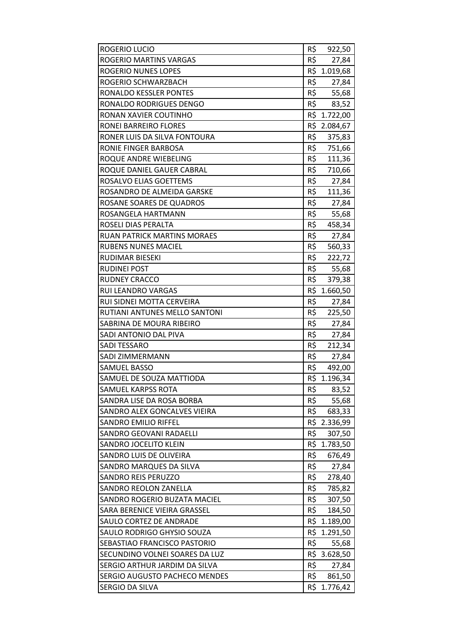| ROGERIO LUCIO                  | R\$ | 922,50       |
|--------------------------------|-----|--------------|
| ROGERIO MARTINS VARGAS         | R\$ | 27,84        |
| <b>ROGERIO NUNES LOPES</b>     |     | R\$ 1.019,68 |
| ROGERIO SCHWARZBACH            | R\$ | 27,84        |
| RONALDO KESSLER PONTES         | R\$ | 55,68        |
| RONALDO RODRIGUES DENGO        | R\$ | 83,52        |
| RONAN XAVIER COUTINHO          |     | R\$ 1.722,00 |
| RONEI BARREIRO FLORES          |     | R\$ 2.084,67 |
| RONER LUIS DA SILVA FONTOURA   | R\$ | 375,83       |
| RONIE FINGER BARBOSA           | R\$ | 751,66       |
| ROQUE ANDRE WIEBELING          | R\$ | 111,36       |
| ROQUE DANIEL GAUER CABRAL      | R\$ | 710,66       |
| ROSALVO ELIAS GOETTEMS         | R\$ | 27,84        |
| ROSANDRO DE ALMEIDA GARSKE     | R\$ | 111,36       |
| ROSANE SOARES DE QUADROS       | R\$ | 27,84        |
| ROSANGELA HARTMANN             | R\$ | 55,68        |
| ROSELI DIAS PERALTA            | R\$ | 458,34       |
| RUAN PATRICK MARTINS MORAES    | R\$ | 27,84        |
| <b>RUBENS NUNES MACIEL</b>     | R\$ | 560,33       |
| RUDIMAR BIESEKI                | R\$ | 222,72       |
| <b>RUDINEI POST</b>            | R\$ | 55,68        |
| <b>RUDNEY CRACCO</b>           | R\$ | 379,38       |
| RUI LEANDRO VARGAS             | R\$ | 1.660,50     |
| RUI SIDNEI MOTTA CERVEIRA      | R\$ | 27,84        |
| RUTIANI ANTUNES MELLO SANTONI  | R\$ | 225,50       |
| SABRINA DE MOURA RIBEIRO       | R\$ | 27,84        |
| SADI ANTONIO DAL PIVA          | R\$ | 27,84        |
| <b>SADI TESSARO</b>            | R\$ | 212,34       |
| SADI ZIMMERMANN                | R\$ | 27,84        |
| <b>SAMUEL BASSO</b>            | R\$ | 492,00       |
| SAMUEL DE SOUZA MATTIODA       | R\$ | 1.196,34     |
| SAMUEL KARPSS ROTA             | R\$ | 83,52        |
| SANDRA LISE DA ROSA BORBA      | R\$ | 55,68        |
| SANDRO ALEX GONCALVES VIEIRA   | R\$ | 683,33       |
| SANDRO EMILIO RIFFEL           | R\$ | 2.336,99     |
| <b>SANDRO GEOVANI RADAELLI</b> | R\$ | 307,50       |
| SANDRO JOCELITO KLEIN          | R\$ | 1.783,50     |
| SANDRO LUIS DE OLIVEIRA        | R\$ | 676,49       |
| SANDRO MARQUES DA SILVA        | R\$ | 27,84        |
| <b>SANDRO REIS PERUZZO</b>     | R\$ | 278,40       |
| <b>SANDRO REOLON ZANELLA</b>   | R\$ | 785,82       |
| SANDRO ROGERIO BUZATA MACIEL   | R\$ | 307,50       |
| SARA BERENICE VIEIRA GRASSEL   | R\$ | 184,50       |
| SAULO CORTEZ DE ANDRADE        |     | R\$ 1.189,00 |
| SAULO RODRIGO GHYSIO SOUZA     | R\$ | 1.291,50     |
| SEBASTIAO FRANCISCO PASTORIO   | R\$ | 55,68        |
| SECUNDINO VOLNEI SOARES DA LUZ |     | R\$ 3.628,50 |
| SERGIO ARTHUR JARDIM DA SILVA  | R\$ | 27,84        |
| SERGIO AUGUSTO PACHECO MENDES  | R\$ | 861,50       |
| SERGIO DA SILVA                | R\$ | 1.776,42     |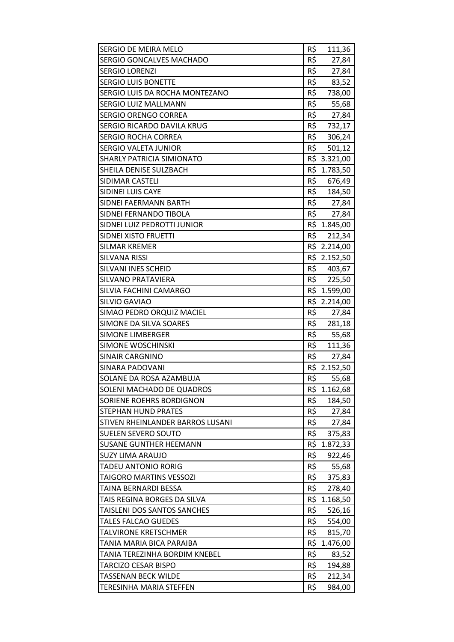| R\$<br>SERGIO GONCALVES MACHADO<br>27,84<br>R\$<br><b>SERGIO LORENZI</b><br>27,84<br>R\$<br><b>SERGIO LUIS BONETTE</b><br>83,52<br>R\$<br>SERGIO LUIS DA ROCHA MONTEZANO<br>738,00<br>R\$<br>SERGIO LUIZ MALLMANN<br>55,68<br>R\$<br><b>SERGIO ORENGO CORREA</b><br>27,84<br>R\$<br>732,17<br>SERGIO RICARDO DAVILA KRUG<br>R\$<br><b>SERGIO ROCHA CORREA</b><br>306,24<br>R\$<br><b>SERGIO VALETA JUNIOR</b><br>501,12<br>R\$ 3.321,00<br>SHARLY PATRICIA SIMIONATO<br>SHEILA DENISE SULZBACH<br>R\$ 1.783,50<br>R\$<br>SIDIMAR CASTELI<br>676,49<br>R\$<br>SIDINEI LUIS CAYE<br>184,50<br>R\$<br>SIDNEI FAERMANN BARTH<br>27,84<br>R\$ 27,84<br>SIDNEI FERNANDO TIBOLA<br>SIDNEI LUIZ PEDROTTI JUNIOR<br>R\$ 1.845,00<br>R\$<br>212,34<br>SIDNEI XISTO FRUETTI<br><b>SILMAR KREMER</b><br>R\$ 2.214,00<br>R\$ 2.152,50<br><b>SILVANA RISSI</b><br>R\$ 403,67<br>SILVANI INES SCHEID<br>SILVANO PRATAVIERA<br>R\$ 225,50<br>R\$ 1.599,00<br>SILVIA FACHINI CAMARGO<br>R\$ 2.214,00<br>SILVIO GAVIAO<br>R\$<br>SIMAO PEDRO ORQUIZ MACIEL<br>27,84<br>R\$<br>SIMONE DA SILVA SOARES<br>281,18<br><b>SIMONE LIMBERGER</b><br>R\$<br>55,68<br>R\$<br><b>SIMONE WOSCHINSKI</b><br>111,36<br>R\$<br><b>SINAIR CARGNINO</b><br>27,84<br>R\$ 2.152,50<br><b>SINARA PADOVANI</b><br>R\$<br>SOLANE DA ROSA AZAMBUJA<br>55,68<br>SOLENI MACHADO DE QUADROS<br>R\$<br>1.162,68<br>R\$<br>SORIENE ROEHRS BORDIGNON<br>184,50<br><b>STEPHAN HUND PRATES</b><br>R\$<br>27,84<br>R\$<br>STIVEN RHEINLANDER BARROS LUSANI<br>27,84<br>R\$<br><b>SUELEN SEVERO SOUTO</b><br>375,83<br>R\$<br><b>SUSANE GUNTHER HEEMANN</b><br>1.872,33<br>R\$<br><b>SUZY LIMA ARAUJO</b><br>922,46<br>R\$<br><b>TADEU ANTONIO RORIG</b><br>55,68<br>R\$<br><b>TAIGORO MARTINS VESSOZI</b><br>375,83<br>R\$<br>TAINA BERNARDI BESSA<br>278,40<br>R\$<br>TAIS REGINA BORGES DA SILVA<br>1.168,50<br>R\$<br>TAISLENI DOS SANTOS SANCHES<br>526,16<br>R\$<br><b>TALES FALCAO GUEDES</b><br>554,00<br>R\$<br>815,70<br><b>TALVIRONE KRETSCHMER</b><br>R\$<br>TANIA MARIA BICA PARAIBA<br>1.476,00<br>R\$<br>TANIA TEREZINHA BORDIM KNEBEL<br>83,52<br>R\$<br>TARCIZO CESAR BISPO<br>194,88<br>R\$<br><b>TASSENAN BECK WILDE</b><br>212,34<br>R\$<br>984,00<br><b>TERESINHA MARIA STEFFEN</b> | SERGIO DE MEIRA MELO | R\$<br>111,36 |
|--------------------------------------------------------------------------------------------------------------------------------------------------------------------------------------------------------------------------------------------------------------------------------------------------------------------------------------------------------------------------------------------------------------------------------------------------------------------------------------------------------------------------------------------------------------------------------------------------------------------------------------------------------------------------------------------------------------------------------------------------------------------------------------------------------------------------------------------------------------------------------------------------------------------------------------------------------------------------------------------------------------------------------------------------------------------------------------------------------------------------------------------------------------------------------------------------------------------------------------------------------------------------------------------------------------------------------------------------------------------------------------------------------------------------------------------------------------------------------------------------------------------------------------------------------------------------------------------------------------------------------------------------------------------------------------------------------------------------------------------------------------------------------------------------------------------------------------------------------------------------------------------------------------------------------------------------------------------------------------------------------------------------------------------------------------------------------------------------------------------------------------------------------------------------------------------------------------------------------------------------------|----------------------|---------------|
|                                                                                                                                                                                                                                                                                                                                                                                                                                                                                                                                                                                                                                                                                                                                                                                                                                                                                                                                                                                                                                                                                                                                                                                                                                                                                                                                                                                                                                                                                                                                                                                                                                                                                                                                                                                                                                                                                                                                                                                                                                                                                                                                                                                                                                                        |                      |               |
|                                                                                                                                                                                                                                                                                                                                                                                                                                                                                                                                                                                                                                                                                                                                                                                                                                                                                                                                                                                                                                                                                                                                                                                                                                                                                                                                                                                                                                                                                                                                                                                                                                                                                                                                                                                                                                                                                                                                                                                                                                                                                                                                                                                                                                                        |                      |               |
|                                                                                                                                                                                                                                                                                                                                                                                                                                                                                                                                                                                                                                                                                                                                                                                                                                                                                                                                                                                                                                                                                                                                                                                                                                                                                                                                                                                                                                                                                                                                                                                                                                                                                                                                                                                                                                                                                                                                                                                                                                                                                                                                                                                                                                                        |                      |               |
|                                                                                                                                                                                                                                                                                                                                                                                                                                                                                                                                                                                                                                                                                                                                                                                                                                                                                                                                                                                                                                                                                                                                                                                                                                                                                                                                                                                                                                                                                                                                                                                                                                                                                                                                                                                                                                                                                                                                                                                                                                                                                                                                                                                                                                                        |                      |               |
|                                                                                                                                                                                                                                                                                                                                                                                                                                                                                                                                                                                                                                                                                                                                                                                                                                                                                                                                                                                                                                                                                                                                                                                                                                                                                                                                                                                                                                                                                                                                                                                                                                                                                                                                                                                                                                                                                                                                                                                                                                                                                                                                                                                                                                                        |                      |               |
|                                                                                                                                                                                                                                                                                                                                                                                                                                                                                                                                                                                                                                                                                                                                                                                                                                                                                                                                                                                                                                                                                                                                                                                                                                                                                                                                                                                                                                                                                                                                                                                                                                                                                                                                                                                                                                                                                                                                                                                                                                                                                                                                                                                                                                                        |                      |               |
|                                                                                                                                                                                                                                                                                                                                                                                                                                                                                                                                                                                                                                                                                                                                                                                                                                                                                                                                                                                                                                                                                                                                                                                                                                                                                                                                                                                                                                                                                                                                                                                                                                                                                                                                                                                                                                                                                                                                                                                                                                                                                                                                                                                                                                                        |                      |               |
|                                                                                                                                                                                                                                                                                                                                                                                                                                                                                                                                                                                                                                                                                                                                                                                                                                                                                                                                                                                                                                                                                                                                                                                                                                                                                                                                                                                                                                                                                                                                                                                                                                                                                                                                                                                                                                                                                                                                                                                                                                                                                                                                                                                                                                                        |                      |               |
|                                                                                                                                                                                                                                                                                                                                                                                                                                                                                                                                                                                                                                                                                                                                                                                                                                                                                                                                                                                                                                                                                                                                                                                                                                                                                                                                                                                                                                                                                                                                                                                                                                                                                                                                                                                                                                                                                                                                                                                                                                                                                                                                                                                                                                                        |                      |               |
|                                                                                                                                                                                                                                                                                                                                                                                                                                                                                                                                                                                                                                                                                                                                                                                                                                                                                                                                                                                                                                                                                                                                                                                                                                                                                                                                                                                                                                                                                                                                                                                                                                                                                                                                                                                                                                                                                                                                                                                                                                                                                                                                                                                                                                                        |                      |               |
|                                                                                                                                                                                                                                                                                                                                                                                                                                                                                                                                                                                                                                                                                                                                                                                                                                                                                                                                                                                                                                                                                                                                                                                                                                                                                                                                                                                                                                                                                                                                                                                                                                                                                                                                                                                                                                                                                                                                                                                                                                                                                                                                                                                                                                                        |                      |               |
|                                                                                                                                                                                                                                                                                                                                                                                                                                                                                                                                                                                                                                                                                                                                                                                                                                                                                                                                                                                                                                                                                                                                                                                                                                                                                                                                                                                                                                                                                                                                                                                                                                                                                                                                                                                                                                                                                                                                                                                                                                                                                                                                                                                                                                                        |                      |               |
|                                                                                                                                                                                                                                                                                                                                                                                                                                                                                                                                                                                                                                                                                                                                                                                                                                                                                                                                                                                                                                                                                                                                                                                                                                                                                                                                                                                                                                                                                                                                                                                                                                                                                                                                                                                                                                                                                                                                                                                                                                                                                                                                                                                                                                                        |                      |               |
|                                                                                                                                                                                                                                                                                                                                                                                                                                                                                                                                                                                                                                                                                                                                                                                                                                                                                                                                                                                                                                                                                                                                                                                                                                                                                                                                                                                                                                                                                                                                                                                                                                                                                                                                                                                                                                                                                                                                                                                                                                                                                                                                                                                                                                                        |                      |               |
|                                                                                                                                                                                                                                                                                                                                                                                                                                                                                                                                                                                                                                                                                                                                                                                                                                                                                                                                                                                                                                                                                                                                                                                                                                                                                                                                                                                                                                                                                                                                                                                                                                                                                                                                                                                                                                                                                                                                                                                                                                                                                                                                                                                                                                                        |                      |               |
|                                                                                                                                                                                                                                                                                                                                                                                                                                                                                                                                                                                                                                                                                                                                                                                                                                                                                                                                                                                                                                                                                                                                                                                                                                                                                                                                                                                                                                                                                                                                                                                                                                                                                                                                                                                                                                                                                                                                                                                                                                                                                                                                                                                                                                                        |                      |               |
|                                                                                                                                                                                                                                                                                                                                                                                                                                                                                                                                                                                                                                                                                                                                                                                                                                                                                                                                                                                                                                                                                                                                                                                                                                                                                                                                                                                                                                                                                                                                                                                                                                                                                                                                                                                                                                                                                                                                                                                                                                                                                                                                                                                                                                                        |                      |               |
|                                                                                                                                                                                                                                                                                                                                                                                                                                                                                                                                                                                                                                                                                                                                                                                                                                                                                                                                                                                                                                                                                                                                                                                                                                                                                                                                                                                                                                                                                                                                                                                                                                                                                                                                                                                                                                                                                                                                                                                                                                                                                                                                                                                                                                                        |                      |               |
|                                                                                                                                                                                                                                                                                                                                                                                                                                                                                                                                                                                                                                                                                                                                                                                                                                                                                                                                                                                                                                                                                                                                                                                                                                                                                                                                                                                                                                                                                                                                                                                                                                                                                                                                                                                                                                                                                                                                                                                                                                                                                                                                                                                                                                                        |                      |               |
|                                                                                                                                                                                                                                                                                                                                                                                                                                                                                                                                                                                                                                                                                                                                                                                                                                                                                                                                                                                                                                                                                                                                                                                                                                                                                                                                                                                                                                                                                                                                                                                                                                                                                                                                                                                                                                                                                                                                                                                                                                                                                                                                                                                                                                                        |                      |               |
|                                                                                                                                                                                                                                                                                                                                                                                                                                                                                                                                                                                                                                                                                                                                                                                                                                                                                                                                                                                                                                                                                                                                                                                                                                                                                                                                                                                                                                                                                                                                                                                                                                                                                                                                                                                                                                                                                                                                                                                                                                                                                                                                                                                                                                                        |                      |               |
|                                                                                                                                                                                                                                                                                                                                                                                                                                                                                                                                                                                                                                                                                                                                                                                                                                                                                                                                                                                                                                                                                                                                                                                                                                                                                                                                                                                                                                                                                                                                                                                                                                                                                                                                                                                                                                                                                                                                                                                                                                                                                                                                                                                                                                                        |                      |               |
|                                                                                                                                                                                                                                                                                                                                                                                                                                                                                                                                                                                                                                                                                                                                                                                                                                                                                                                                                                                                                                                                                                                                                                                                                                                                                                                                                                                                                                                                                                                                                                                                                                                                                                                                                                                                                                                                                                                                                                                                                                                                                                                                                                                                                                                        |                      |               |
|                                                                                                                                                                                                                                                                                                                                                                                                                                                                                                                                                                                                                                                                                                                                                                                                                                                                                                                                                                                                                                                                                                                                                                                                                                                                                                                                                                                                                                                                                                                                                                                                                                                                                                                                                                                                                                                                                                                                                                                                                                                                                                                                                                                                                                                        |                      |               |
|                                                                                                                                                                                                                                                                                                                                                                                                                                                                                                                                                                                                                                                                                                                                                                                                                                                                                                                                                                                                                                                                                                                                                                                                                                                                                                                                                                                                                                                                                                                                                                                                                                                                                                                                                                                                                                                                                                                                                                                                                                                                                                                                                                                                                                                        |                      |               |
|                                                                                                                                                                                                                                                                                                                                                                                                                                                                                                                                                                                                                                                                                                                                                                                                                                                                                                                                                                                                                                                                                                                                                                                                                                                                                                                                                                                                                                                                                                                                                                                                                                                                                                                                                                                                                                                                                                                                                                                                                                                                                                                                                                                                                                                        |                      |               |
|                                                                                                                                                                                                                                                                                                                                                                                                                                                                                                                                                                                                                                                                                                                                                                                                                                                                                                                                                                                                                                                                                                                                                                                                                                                                                                                                                                                                                                                                                                                                                                                                                                                                                                                                                                                                                                                                                                                                                                                                                                                                                                                                                                                                                                                        |                      |               |
|                                                                                                                                                                                                                                                                                                                                                                                                                                                                                                                                                                                                                                                                                                                                                                                                                                                                                                                                                                                                                                                                                                                                                                                                                                                                                                                                                                                                                                                                                                                                                                                                                                                                                                                                                                                                                                                                                                                                                                                                                                                                                                                                                                                                                                                        |                      |               |
|                                                                                                                                                                                                                                                                                                                                                                                                                                                                                                                                                                                                                                                                                                                                                                                                                                                                                                                                                                                                                                                                                                                                                                                                                                                                                                                                                                                                                                                                                                                                                                                                                                                                                                                                                                                                                                                                                                                                                                                                                                                                                                                                                                                                                                                        |                      |               |
|                                                                                                                                                                                                                                                                                                                                                                                                                                                                                                                                                                                                                                                                                                                                                                                                                                                                                                                                                                                                                                                                                                                                                                                                                                                                                                                                                                                                                                                                                                                                                                                                                                                                                                                                                                                                                                                                                                                                                                                                                                                                                                                                                                                                                                                        |                      |               |
|                                                                                                                                                                                                                                                                                                                                                                                                                                                                                                                                                                                                                                                                                                                                                                                                                                                                                                                                                                                                                                                                                                                                                                                                                                                                                                                                                                                                                                                                                                                                                                                                                                                                                                                                                                                                                                                                                                                                                                                                                                                                                                                                                                                                                                                        |                      |               |
|                                                                                                                                                                                                                                                                                                                                                                                                                                                                                                                                                                                                                                                                                                                                                                                                                                                                                                                                                                                                                                                                                                                                                                                                                                                                                                                                                                                                                                                                                                                                                                                                                                                                                                                                                                                                                                                                                                                                                                                                                                                                                                                                                                                                                                                        |                      |               |
|                                                                                                                                                                                                                                                                                                                                                                                                                                                                                                                                                                                                                                                                                                                                                                                                                                                                                                                                                                                                                                                                                                                                                                                                                                                                                                                                                                                                                                                                                                                                                                                                                                                                                                                                                                                                                                                                                                                                                                                                                                                                                                                                                                                                                                                        |                      |               |
|                                                                                                                                                                                                                                                                                                                                                                                                                                                                                                                                                                                                                                                                                                                                                                                                                                                                                                                                                                                                                                                                                                                                                                                                                                                                                                                                                                                                                                                                                                                                                                                                                                                                                                                                                                                                                                                                                                                                                                                                                                                                                                                                                                                                                                                        |                      |               |
|                                                                                                                                                                                                                                                                                                                                                                                                                                                                                                                                                                                                                                                                                                                                                                                                                                                                                                                                                                                                                                                                                                                                                                                                                                                                                                                                                                                                                                                                                                                                                                                                                                                                                                                                                                                                                                                                                                                                                                                                                                                                                                                                                                                                                                                        |                      |               |
|                                                                                                                                                                                                                                                                                                                                                                                                                                                                                                                                                                                                                                                                                                                                                                                                                                                                                                                                                                                                                                                                                                                                                                                                                                                                                                                                                                                                                                                                                                                                                                                                                                                                                                                                                                                                                                                                                                                                                                                                                                                                                                                                                                                                                                                        |                      |               |
|                                                                                                                                                                                                                                                                                                                                                                                                                                                                                                                                                                                                                                                                                                                                                                                                                                                                                                                                                                                                                                                                                                                                                                                                                                                                                                                                                                                                                                                                                                                                                                                                                                                                                                                                                                                                                                                                                                                                                                                                                                                                                                                                                                                                                                                        |                      |               |
|                                                                                                                                                                                                                                                                                                                                                                                                                                                                                                                                                                                                                                                                                                                                                                                                                                                                                                                                                                                                                                                                                                                                                                                                                                                                                                                                                                                                                                                                                                                                                                                                                                                                                                                                                                                                                                                                                                                                                                                                                                                                                                                                                                                                                                                        |                      |               |
|                                                                                                                                                                                                                                                                                                                                                                                                                                                                                                                                                                                                                                                                                                                                                                                                                                                                                                                                                                                                                                                                                                                                                                                                                                                                                                                                                                                                                                                                                                                                                                                                                                                                                                                                                                                                                                                                                                                                                                                                                                                                                                                                                                                                                                                        |                      |               |
|                                                                                                                                                                                                                                                                                                                                                                                                                                                                                                                                                                                                                                                                                                                                                                                                                                                                                                                                                                                                                                                                                                                                                                                                                                                                                                                                                                                                                                                                                                                                                                                                                                                                                                                                                                                                                                                                                                                                                                                                                                                                                                                                                                                                                                                        |                      |               |
|                                                                                                                                                                                                                                                                                                                                                                                                                                                                                                                                                                                                                                                                                                                                                                                                                                                                                                                                                                                                                                                                                                                                                                                                                                                                                                                                                                                                                                                                                                                                                                                                                                                                                                                                                                                                                                                                                                                                                                                                                                                                                                                                                                                                                                                        |                      |               |
|                                                                                                                                                                                                                                                                                                                                                                                                                                                                                                                                                                                                                                                                                                                                                                                                                                                                                                                                                                                                                                                                                                                                                                                                                                                                                                                                                                                                                                                                                                                                                                                                                                                                                                                                                                                                                                                                                                                                                                                                                                                                                                                                                                                                                                                        |                      |               |
|                                                                                                                                                                                                                                                                                                                                                                                                                                                                                                                                                                                                                                                                                                                                                                                                                                                                                                                                                                                                                                                                                                                                                                                                                                                                                                                                                                                                                                                                                                                                                                                                                                                                                                                                                                                                                                                                                                                                                                                                                                                                                                                                                                                                                                                        |                      |               |
|                                                                                                                                                                                                                                                                                                                                                                                                                                                                                                                                                                                                                                                                                                                                                                                                                                                                                                                                                                                                                                                                                                                                                                                                                                                                                                                                                                                                                                                                                                                                                                                                                                                                                                                                                                                                                                                                                                                                                                                                                                                                                                                                                                                                                                                        |                      |               |
|                                                                                                                                                                                                                                                                                                                                                                                                                                                                                                                                                                                                                                                                                                                                                                                                                                                                                                                                                                                                                                                                                                                                                                                                                                                                                                                                                                                                                                                                                                                                                                                                                                                                                                                                                                                                                                                                                                                                                                                                                                                                                                                                                                                                                                                        |                      |               |
|                                                                                                                                                                                                                                                                                                                                                                                                                                                                                                                                                                                                                                                                                                                                                                                                                                                                                                                                                                                                                                                                                                                                                                                                                                                                                                                                                                                                                                                                                                                                                                                                                                                                                                                                                                                                                                                                                                                                                                                                                                                                                                                                                                                                                                                        |                      |               |
|                                                                                                                                                                                                                                                                                                                                                                                                                                                                                                                                                                                                                                                                                                                                                                                                                                                                                                                                                                                                                                                                                                                                                                                                                                                                                                                                                                                                                                                                                                                                                                                                                                                                                                                                                                                                                                                                                                                                                                                                                                                                                                                                                                                                                                                        |                      |               |
|                                                                                                                                                                                                                                                                                                                                                                                                                                                                                                                                                                                                                                                                                                                                                                                                                                                                                                                                                                                                                                                                                                                                                                                                                                                                                                                                                                                                                                                                                                                                                                                                                                                                                                                                                                                                                                                                                                                                                                                                                                                                                                                                                                                                                                                        |                      |               |
|                                                                                                                                                                                                                                                                                                                                                                                                                                                                                                                                                                                                                                                                                                                                                                                                                                                                                                                                                                                                                                                                                                                                                                                                                                                                                                                                                                                                                                                                                                                                                                                                                                                                                                                                                                                                                                                                                                                                                                                                                                                                                                                                                                                                                                                        |                      |               |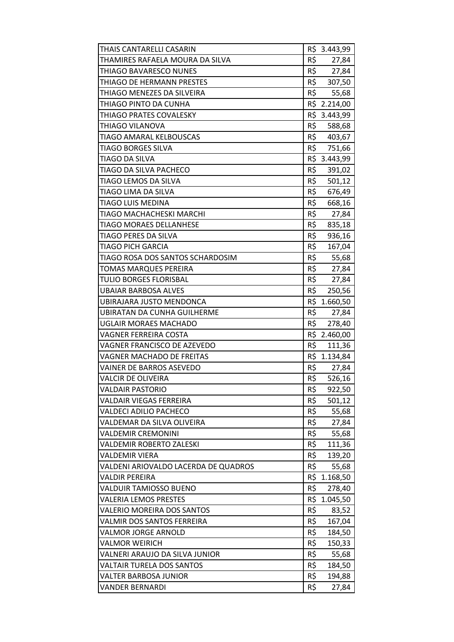| THAIS CANTARELLI CASARIN             |     | R\$ 3.443,99 |
|--------------------------------------|-----|--------------|
| THAMIRES RAFAELA MOURA DA SILVA      | R\$ | 27,84        |
| THIAGO BAVARESCO NUNES               | R\$ | 27,84        |
| THIAGO DE HERMANN PRESTES            | R\$ | 307,50       |
| THIAGO MENEZES DA SILVEIRA           | R\$ | 55,68        |
| THIAGO PINTO DA CUNHA                |     | R\$ 2.214,00 |
| THIAGO PRATES COVALESKY              |     | R\$ 3.443,99 |
| THIAGO VILANOVA                      | R\$ | 588,68       |
| TIAGO AMARAL KELBOUSCAS              | R\$ | 403,67       |
| <b>TIAGO BORGES SILVA</b>            | R\$ | 751,66       |
| TIAGO DA SILVA                       |     | R\$ 3.443,99 |
| TIAGO DA SILVA PACHECO               | R\$ | 391,02       |
| TIAGO LEMOS DA SILVA                 | R\$ | 501,12       |
| TIAGO LIMA DA SILVA                  | R\$ | 676,49       |
| <b>TIAGO LUIS MEDINA</b>             | R\$ | 668,16       |
| TIAGO MACHACHESKI MARCHI             | R\$ | 27,84        |
| <b>TIAGO MORAES DELLANHESE</b>       | R\$ | 835,18       |
| TIAGO PERES DA SILVA                 | R\$ | 936,16       |
| <b>TIAGO PICH GARCIA</b>             | R\$ | 167,04       |
| TIAGO ROSA DOS SANTOS SCHARDOSIM     | R\$ | 55,68        |
| TOMAS MARQUES PEREIRA                | R\$ | 27,84        |
| TULIO BORGES FLORISBAL               | R\$ | 27,84        |
| UBAIAR BARBOSA ALVES                 | R\$ | 250,56       |
| UBIRAJARA JUSTO MENDONCA             |     | R\$ 1.660,50 |
| <b>UBIRATAN DA CUNHA GUILHERME</b>   | R\$ | 27,84        |
| UGLAIR MORAES MACHADO                | R\$ | 278,40       |
| VAGNER FERREIRA COSTA                |     | R\$ 2.460,00 |
| VAGNER FRANCISCO DE AZEVEDO          | R\$ | 111,36       |
| VAGNER MACHADO DE FREITAS            |     | R\$ 1.134,84 |
| VAINER DE BARROS ASEVEDO             | R\$ | 27,84        |
| VALCIR DE OLIVEIRA                   | R\$ | 526,16       |
| <b>VALDAIR PASTORIO</b>              | R\$ | 922,50       |
| VALDAIR VIEGAS FERREIRA              | R\$ | 501,12       |
| VALDECI ADILIO PACHECO               | R\$ | 55,68        |
| VALDEMAR DA SILVA OLIVEIRA           | R\$ | 27,84        |
| VALDEMIR CREMONINI                   | R\$ | 55,68        |
| <b>VALDEMIR ROBERTO ZALESKI</b>      | R\$ | 111,36       |
| VALDEMIR VIERA                       | R\$ | 139,20       |
| VALDENI ARIOVALDO LACERDA DE QUADROS | R\$ | 55,68        |
| VALDIR PEREIRA                       |     | R\$ 1.168,50 |
| VALDUIR TAMIOSSO BUENO               | R\$ | 278,40       |
| <b>VALERIA LEMOS PRESTES</b>         |     | R\$ 1.045,50 |
| VALERIO MOREIRA DOS SANTOS           | R\$ | 83,52        |
| VALMIR DOS SANTOS FERREIRA           | R\$ | 167,04       |
| VALMOR JORGE ARNOLD                  | R\$ | 184,50       |
| VALMOR WEIRICH                       | R\$ | 150,33       |
| VALNERI ARAUJO DA SILVA JUNIOR       | R\$ | 55,68        |
| VALTAIR TURELA DOS SANTOS            | R\$ | 184,50       |
| VALTER BARBOSA JUNIOR                | R\$ | 194,88       |
| VANDER BERNARDI                      | R\$ | 27,84        |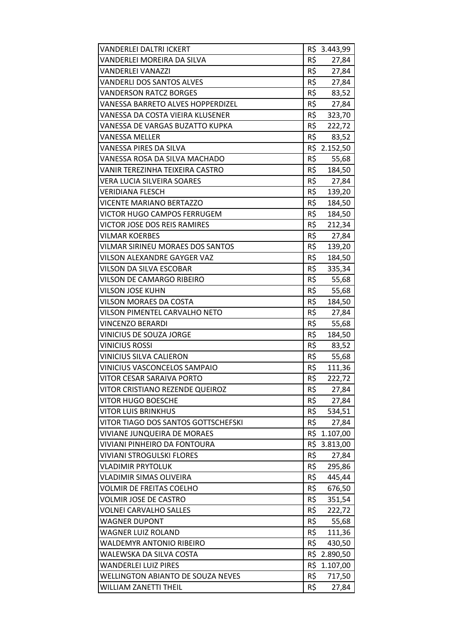| VANDERLEI DALTRI ICKERT                  |     | R\$ 3.443,99 |
|------------------------------------------|-----|--------------|
| VANDERLEI MOREIRA DA SILVA               | R\$ | 27,84        |
| <b>VANDERLEI VANAZZI</b>                 | R\$ | 27,84        |
| VANDERLI DOS SANTOS ALVES                | R\$ | 27,84        |
| <b>VANDERSON RATCZ BORGES</b>            | R\$ | 83,52        |
| VANESSA BARRETO ALVES HOPPERDIZEL        | R\$ | 27,84        |
| VANESSA DA COSTA VIEIRA KLUSENER         |     | R\$ 323,70   |
| VANESSA DE VARGAS BUZATTO KUPKA          | R\$ | 222,72       |
| VANESSA MELLER                           | R\$ | 83,52        |
| VANESSA PIRES DA SILVA                   |     | R\$ 2.152,50 |
| VANESSA ROSA DA SILVA MACHADO            | R\$ | 55,68        |
| VANIR TEREZINHA TEIXEIRA CASTRO          |     | R\$ 184,50   |
| VERA LUCIA SILVEIRA SOARES               | R\$ | 27,84        |
| VERIDIANA FLESCH                         | R\$ | 139,20       |
| VICENTE MARIANO BERTAZZO                 | R\$ | 184,50       |
| VICTOR HUGO CAMPOS FERRUGEM              | R\$ | 184,50       |
| VICTOR JOSE DOS REIS RAMIRES             |     | R\$ 212,34   |
| VILMAR KOERBES                           | R\$ | 27,84        |
| VILMAR SIRINEU MORAES DOS SANTOS         | R\$ | 139,20       |
| VILSON ALEXANDRE GAYGER VAZ              | R\$ | 184,50       |
| VILSON DA SILVA ESCOBAR                  | R\$ | 335,34       |
| VILSON DE CAMARGO RIBEIRO                | R\$ | 55,68        |
| <b>VILSON JOSE KUHN</b>                  | R\$ | 55,68        |
| VILSON MORAES DA COSTA                   | R\$ | 184,50       |
| VILSON PIMENTEL CARVALHO NETO            | R\$ | 27,84        |
| <b>VINCENZO BERARDI</b>                  | R\$ | 55,68        |
| VINICIUS DE SOUZA JORGE                  | R\$ | 184,50       |
| <b>VINICIUS ROSSI</b>                    | R\$ | 83,52        |
| VINICIUS SILVA CALIERON                  | R\$ | 55,68        |
| VINICIUS VASCONCELOS SAMPAIO             | R\$ | 111,36       |
| VITOR CESAR SARAIVA PORTO                | R\$ | 222,72       |
| VITOR CRISTIANO REZENDE QUEIROZ          | R\$ | 27,84        |
| <b>VITOR HUGO BOESCHE</b>                | R\$ | 27,84        |
| <b>VITOR LUIS BRINKHUS</b>               | R\$ | 534,51       |
| VITOR TIAGO DOS SANTOS GOTTSCHEFSKI      | R\$ | 27,84        |
| VIVIANE JUNQUEIRA DE MORAES              |     | R\$ 1.107,00 |
| VIVIANI PINHEIRO DA FONTOURA             | R\$ | 3.813,00     |
| VIVIANI STROGULSKI FLORES                | R\$ | 27,84        |
| VLADIMIR PRYTOLUK                        | R\$ | 295,86       |
| VLADIMIR SIMAS OLIVEIRA                  | R\$ | 445,44       |
| <b>VOLMIR DE FREITAS COELHO</b>          | R\$ | 676,50       |
| <b>VOLMIR JOSE DE CASTRO</b>             | R\$ | 351,54       |
| VOLNEI CARVALHO SALLES                   | R\$ | 222,72       |
| <b>WAGNER DUPONT</b>                     | R\$ | 55,68        |
| WAGNER LUIZ ROLAND                       | R\$ | 111,36       |
| WALDEMYR ANTONIO RIBEIRO                 | R\$ | 430,50       |
| WALEWSKA DA SILVA COSTA                  |     | R\$ 2.890,50 |
| <b>WANDERLEI LUIZ PIRES</b>              | R\$ | 1.107,00     |
| <b>WELLINGTON ABIANTO DE SOUZA NEVES</b> | R\$ | 717,50       |
| WILLIAM ZANETTI THEIL                    | R\$ | 27,84        |